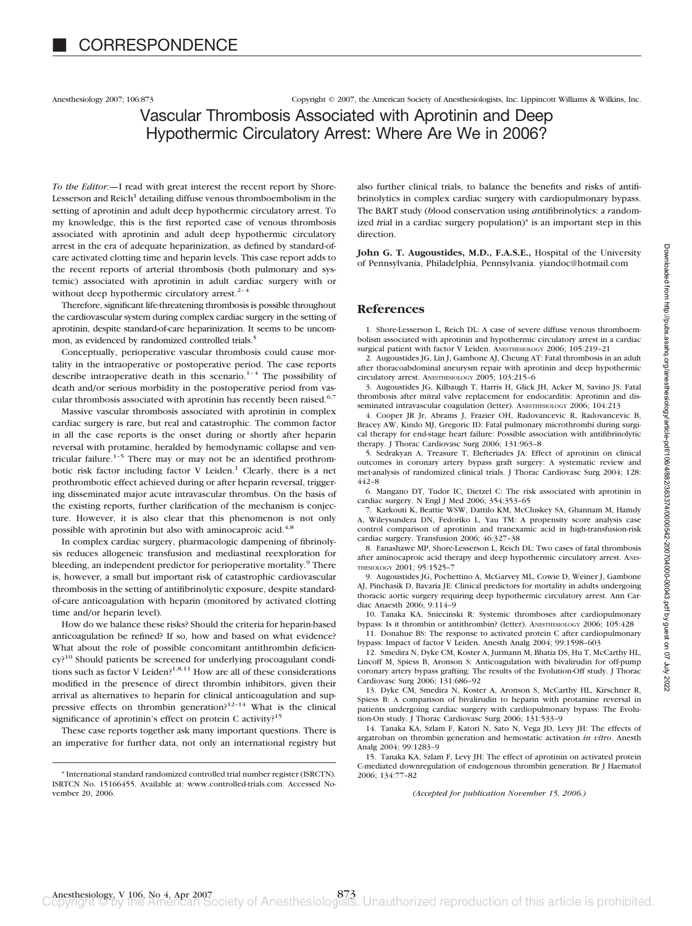Anesthesiology 2007; 106:873 Copyright © 2007, the American Society of Anesthesiologists, Inc. Lippincott Williams & Wilkins, Inc.

# Vascular Thrombosis Associated with Aprotinin and Deep Hypothermic Circulatory Arrest: Where Are We in 2006?

*To the Editor:—*I read with great interest the recent report by Shore-Lesserson and  $Reich<sup>1</sup>$  detailing diffuse venous thromboembolism in the setting of aprotinin and adult deep hypothermic circulatory arrest. To my knowledge, this is the first reported case of venous thrombosis associated with aprotinin and adult deep hypothermic circulatory arrest in the era of adequate heparinization, as defined by standard-ofcare activated clotting time and heparin levels. This case report adds to the recent reports of arterial thrombosis (both pulmonary and systemic) associated with aprotinin in adult cardiac surgery with or without deep hypothermic circulatory arrest. $2-4$ 

Therefore, significant life-threatening thrombosis is possible throughout the cardiovascular system during complex cardiac surgery in the setting of aprotinin, despite standard-of-care heparinization. It seems to be uncommon, as evidenced by randomized controlled trials.<sup>5</sup>

Conceptually, perioperative vascular thrombosis could cause mortality in the intraoperative or postoperative period. The case reports describe intraoperative death in this scenario.<sup>1-4</sup> The possibility of death and/or serious morbidity in the postoperative period from vascular thrombosis associated with aprotinin has recently been raised.  $\sp{6,7}$ 

Massive vascular thrombosis associated with aprotinin in complex cardiac surgery is rare, but real and catastrophic. The common factor in all the case reports is the onset during or shortly after heparin reversal with protamine, heralded by hemodynamic collapse and ventricular failure.<sup>1–5</sup> There may or may not be an identified prothrombotic risk factor including factor V Leiden.<sup>1</sup> Clearly, there is a net prothrombotic effect achieved during or after heparin reversal, triggering disseminated major acute intravascular thrombus. On the basis of the existing reports, further clarification of the mechanism is conjecture. However, it is also clear that this phenomenon is not only possible with aprotinin but also with aminocaproic acid.<sup>4,8</sup>

In complex cardiac surgery, pharmacologic dampening of fibrinolysis reduces allogeneic transfusion and mediastinal reexploration for bleeding, an independent predictor for perioperative mortality.<sup>9</sup> There is, however, a small but important risk of catastrophic cardiovascular thrombosis in the setting of antifibrinolytic exposure, despite standardof-care anticoagulation with heparin (monitored by activated clotting time and/or heparin level).

How do we balance these risks? Should the criteria for heparin-based anticoagulation be refined? If so, how and based on what evidence? What about the role of possible concomitant antithrombin deficiency?10 Should patients be screened for underlying procoagulant conditions such as factor V Leiden?<sup>1,8,11</sup> How are all of these considerations modified in the presence of direct thrombin inhibitors, given their arrival as alternatives to heparin for clinical anticoagulation and suppressive effects on thrombin generation?<sup>12–14</sup> What is the clinical significance of aprotinin's effect on protein C activity?<sup>15</sup>

These case reports together ask many important questions. There is an imperative for further data, not only an international registry but

also further clinical trials, to balance the benefits and risks of antifibrinolytics in complex cardiac surgery with cardiopulmonary bypass. The BART study (*b*lood conservation using *a*ntifibrinolytics: a *r*andomized *t*rial in a cardiac surgery population)\* is an important step in this direction.

**John G. T. Augoustides, M.D., F.A.S.E.,** Hospital of the University of Pennsylvania, Philadelphia, Pennsylvania. yiandoc@hotmail.com

### **References**

1. Shore-Lesserson L, Reich DL: A case of severe diffuse venous thromboembolism associated with aprotinin and hypothermic circulatory arrest in a cardiac surgical patient with factor V Leiden. ANESTHESIOLOGY 2006; 105:219–21

2. Augoustides JG, Lin J, Gambone AJ, Cheung AT: Fatal thrombosis in an adult after thoracoabdominal aneurysm repair with aprotinin and deep hypothermic circulatory arrest. ANESTHESIOLOGY 2005; 103:215–6

3. Augoustides JG, Kilbaugh T, Harris H, Glick JH, Acker M, Savino JS: Fatal thrombosis after mitral valve replacement for endocarditis: Aprotinin and disseminated intravascular coagulation (letter). ANESTHESIOLOGY 2006; 104:213

4. Cooper JR Jr, Abrams J, Frazier OH, Radovancevic R, Radovancevic B, Bracey AW, Kindo MJ, Gregoric ID: Fatal pulmonary microthrombi during surgical therapy for end-stage heart failure: Possible association with antifibrinolytic therapy. J Thorac Cardiovasc Surg 2006; 131:963–8

5. Sedrakyan A, Treasure T, Elefteriades JA: Effect of aprotinin on clinical outcomes in coronary artery bypass graft surgery: A systematic review and met-analysis of randomized clinical trials. J Thorac Cardiovasc Surg 2004; 128: 442–8

6. Mangano DT, Tudor IC, Dietzel C: The risk associated with aprotinin in cardiac surgery. N Engl J Med 2006; 354:353–65

7. Karkouti K, Beattie WSW, Dattilo KM, McCluskey SA, Ghannam M, Hamdy A, Wileysundera DN, Fedoriko L, Yau TM: A propensity score analysis case control comparison of aprotinin and tranexamic acid in high-transfusion-risk cardiac surgery. Transfusion 2006; 46:327–38

8. Fanashawe MP, Shore-Lesserson L, Reich DL: Two cases of fatal thrombosis after aminocaproic acid therapy and deep hypothermic circulatory arrest. ANES-THESIOLOGY 2001; 95:1525–7

9. Augoustides JG, Pochettino A, McGarvey ML, Cowie D, Weiner J, Gambone AJ, Pinchasik D, Bavaria JE: Clinical predictors for mortality in adults undergoing thoracic aortic surgery requiring deep hypothermic circulatory arrest. Ann Cardiac Anaesth 2006; 9:114–9

10. Tanaka KA, Sniecinski R: Systemic thromboses after cardiopulmonary bypass: Is it thrombin or antithrombin? (letter). ANESTHESIOLOGY 2006; 105:428 11. Donahue BS: The response to activated protein C after cardiopulmonary

bypass: Impact of factor V Leiden. Anesth Analg 2004; 99:1598–603

12. Smedira N, Dyke CM, Koster A, Jurmann M, Bhatia DS, Hu T, McCarthy HL, Lincoff M, Spiess B, Aronson S: Anticoagulation with bivalirudin for off-pump coronary artery bypass grafting: The results of the Evolution-Off study. J Thorac Cardiovasc Surg 2006; 131:686–92

13. Dyke CM, Smedira N, Koster A, Aronson S, McCarthy HL, Kirschner R, Spiess B: A comparison of bivalirudin to heparin with protamine reversal in patients undergoing cardiac surgery with cardiopulmonary bypass: The Evolution-On study. J Thorac Cardiovasc Surg 2006; 131:533–9

14. Tanaka KA, Szlam F, Katori N, Sato N, Vega JD, Levy JH: The effects of argatroban on thrombin generation and hemostatic activation *in vitro*. Anesth Analg 2004; 99:1283–9

15. Tanaka KA, Szlam F, Levy JH: The effect of aprotinin on activated protein C-mediated downregulation of endogenous thrombin generation. Br J Haematol 2006; 134:77–82

*(Accepted for publication November 15, 2006.)*

<sup>\*</sup> International standard randomized controlled trial number register (ISRCTN). ISRTCN No. 15166455. Available at: www.controlled-trials.com. Accessed November 20, 2006.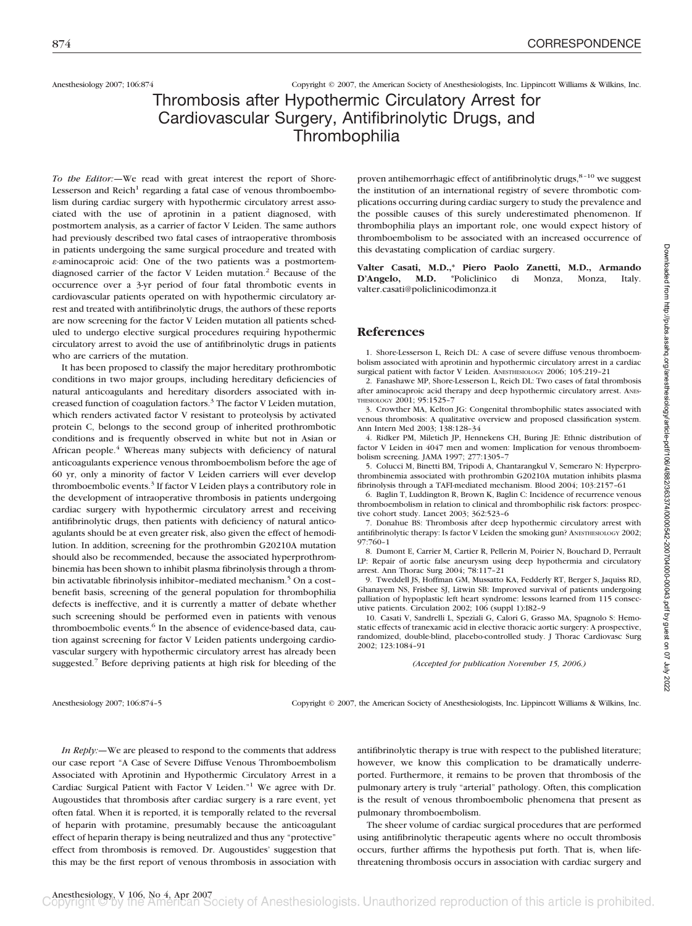Anesthesiology 2007; 106:874 Copyright © 2007, the American Society of Anesthesiologists, Inc. Lippincott Williams & Wilkins, Inc.

# Thrombosis after Hypothermic Circulatory Arrest for Cardiovascular Surgery, Antifibrinolytic Drugs, and **Thrombophilia**

*To the Editor:—*We read with great interest the report of Shore-Lesserson and  $Reich<sup>1</sup>$  regarding a fatal case of venous thromboembolism during cardiac surgery with hypothermic circulatory arrest associated with the use of aprotinin in a patient diagnosed, with postmortem analysis, as a carrier of factor V Leiden. The same authors had previously described two fatal cases of intraoperative thrombosis in patients undergoing the same surgical procedure and treated with -aminocaproic acid: One of the two patients was a postmortemdiagnosed carrier of the factor V Leiden mutation.<sup>2</sup> Because of the occurrence over a 3-yr period of four fatal thrombotic events in cardiovascular patients operated on with hypothermic circulatory arrest and treated with antifibrinolytic drugs, the authors of these reports are now screening for the factor V Leiden mutation all patients scheduled to undergo elective surgical procedures requiring hypothermic circulatory arrest to avoid the use of antifibrinolytic drugs in patients who are carriers of the mutation.

It has been proposed to classify the major hereditary prothrombotic conditions in two major groups, including hereditary deficiencies of natural anticoagulants and hereditary disorders associated with increased function of coagulation factors.3 The factor V Leiden mutation, which renders activated factor V resistant to proteolysis by activated protein C, belongs to the second group of inherited prothrombotic conditions and is frequently observed in white but not in Asian or African people.<sup>4</sup> Whereas many subjects with deficiency of natural anticoagulants experience venous thromboembolism before the age of 60 yr, only a minority of factor V Leiden carriers will ever develop thromboembolic events.<sup>3</sup> If factor V Leiden plays a contributory role in the development of intraoperative thrombosis in patients undergoing cardiac surgery with hypothermic circulatory arrest and receiving antifibrinolytic drugs, then patients with deficiency of natural anticoagulants should be at even greater risk, also given the effect of hemodilution. In addition, screening for the prothrombin G20210A mutation should also be recommended, because the associated hyperprothrombinemia has been shown to inhibit plasma fibrinolysis through a thrombin activatable fibrinolysis inhibitor-mediated mechanism.<sup>5</sup> On a costbenefit basis, screening of the general population for thrombophilia defects is ineffective, and it is currently a matter of debate whether such screening should be performed even in patients with venous thromboembolic events.<sup>6</sup> In the absence of evidence-based data, caution against screening for factor V Leiden patients undergoing cardiovascular surgery with hypothermic circulatory arrest has already been suggested.<sup>7</sup> Before depriving patients at high risk for bleeding of the

proven antihemorrhagic effect of antifibrinolytic drugs, 8-10 we suggest the institution of an international registry of severe thrombotic complications occurring during cardiac surgery to study the prevalence and the possible causes of this surely underestimated phenomenon. If thrombophilia plays an important role, one would expect history of thromboembolism to be associated with an increased occurrence of this devastating complication of cardiac surgery.

**Valter Casati, M.D.,\* Piero Paolo Zanetti, M.D., Armando**  $*$ Policlinico valter.casati@policlinicodimonza.it

#### **References**

1. Shore-Lesserson L, Reich DL: A case of severe diffuse venous thromboembolism associated with aprotinin and hypothermic circulatory arrest in a cardiac surgical patient with factor V Leiden. ANESTHESIOLOGY 2006; 105:219–21

2. Fanashawe MP, Shore-Lesserson L, Reich DL: Two cases of fatal thrombosis after aminocaproic acid therapy and deep hypothermic circulatory arrest. ANES-THESIOLOGY 2001; 95:1525–7

3. Crowther MA, Kelton JG: Congenital thrombophilic states associated with venous thrombosis: A qualitative overview and proposed classification system. Ann Intern Med 2003; 138:128–34

4. Ridker PM, Miletich JP, Hennekens CH, Buring JE: Ethnic distribution of factor V Leiden in 4047 men and women: Implication for venous thromboembolism screening. JAMA 1997; 277:1305–7

5. Colucci M, Binetti BM, Tripodi A, Chantarangkul V, Semeraro N: Hyperprothrombinemia associated with prothrombin G20210A mutation inhibits plasma fibrinolysis through a TAFI-mediated mechanism. Blood 2004; 103:2157–61

6. Baglin T, Luddington R, Brown K, Baglin C: Incidence of recurrence venous thromboembolism in relation to clinical and thrombophilic risk factors: prospective cohort study. Lancet 2003; 362:523–6

7. Donahue BS: Thrombosis after deep hypothermic circulatory arrest with antifibrinolytic therapy: Is factor V Leiden the smoking gun? ANESTHESIOLOGY 2002; 97:760–1

8. Dumont E, Carrier M, Cartier R, Pellerin M, Poirier N, Bouchard D, Perrault LP: Repair of aortic false aneurysm using deep hypothermia and circulatory arrest. Ann Thorac Surg 2004; 78:117–21

9. Tweddell JS, Hoffman GM, Mussatto KA, Fedderly RT, Berger S, Jaquiss RD, Ghanayem NS, Frisbee SJ, Litwin SB: Improved survival of patients undergoing palliation of hypoplastic left heart syndrome: lessons learned from 115 consecutive patients. Circulation 2002; 106 (suppl 1):I82–9

10. Casati V, Sandrelli L, Speziali G, Calori G, Grasso MA, Spagnolo S: Hemostatic effects of tranexamic acid in elective thoracic aortic surgery: A prospective, randomized, double-blind, placebo-controlled study. J Thorac Cardiovasc Surg 2002; 123:1084–91

*(Accepted for publication November 15, 2006.)*

Anesthesiology 2007; 106:874-5 Copyright © 2007, the American Society of Anesthesiologists, Inc. Lippincott Williams & Wilkins, Inc.

*In Reply:—*We are pleased to respond to the comments that address our case report "A Case of Severe Diffuse Venous Thromboembolism Associated with Aprotinin and Hypothermic Circulatory Arrest in a Cardiac Surgical Patient with Factor V Leiden."1 We agree with Dr. Augoustides that thrombosis after cardiac surgery is a rare event, yet often fatal. When it is reported, it is temporally related to the reversal of heparin with protamine, presumably because the anticoagulant effect of heparin therapy is being neutralized and thus any "protective" effect from thrombosis is removed. Dr. Augoustides' suggestion that this may be the first report of venous thrombosis in association with

antifibrinolytic therapy is true with respect to the published literature; however, we know this complication to be dramatically underreported. Furthermore, it remains to be proven that thrombosis of the pulmonary artery is truly "arterial" pathology. Often, this complication is the result of venous thromboembolic phenomena that present as pulmonary thromboembolism.

The sheer volume of cardiac surgical procedures that are performed using antifibrinolytic therapeutic agents where no occult thrombosis occurs, further affirms the hypothesis put forth. That is, when lifethreatening thrombosis occurs in association with cardiac surgery and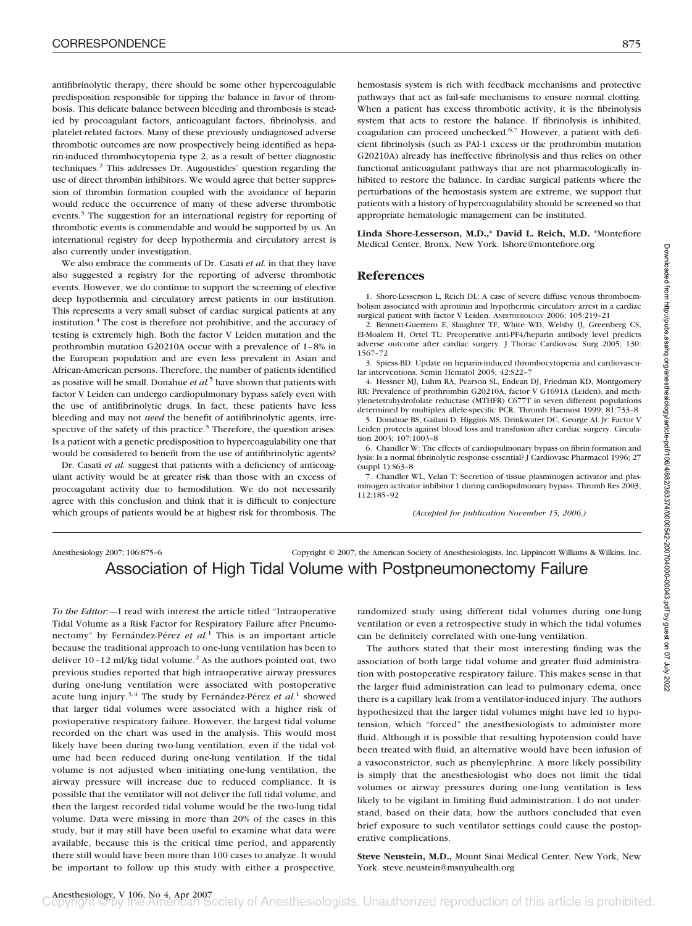antifibrinolytic therapy, there should be some other hypercoagulable predisposition responsible for tipping the balance in favor of thrombosis. This delicate balance between bleeding and thrombosis is steadied by procoagulant factors, anticoagulant factors, fibrinolysis, and platelet-related factors. Many of these previously undiagnosed adverse thrombotic outcomes are now prospectively being identified as heparin-induced thrombocytopenia type 2, as a result of better diagnostic techniques.2 This addresses Dr. Augoustides' question regarding the use of direct thrombin inhibitors. We would agree that better suppression of thrombin formation coupled with the avoidance of heparin would reduce the occurrence of many of these adverse thrombotic events.<sup>3</sup> The suggestion for an international registry for reporting of thrombotic events is commendable and would be supported by us. An international registry for deep hypothermia and circulatory arrest is also currently under investigation.

We also embrace the comments of Dr. Casati *et al.* in that they have also suggested a registry for the reporting of adverse thrombotic events. However, we do continue to support the screening of elective deep hypothermia and circulatory arrest patients in our institution. This represents a very small subset of cardiac surgical patients at any institution.<sup>4</sup> The cost is therefore not prohibitive, and the accuracy of testing is extremely high. Both the factor V Leiden mutation and the prothrombin mutation G20210A occur with a prevalence of 1– 8% in the European population and are even less prevalent in Asian and African-American persons. Therefore, the number of patients identified as positive will be small. Donahue *et al.*<sup>5</sup> have shown that patients with factor V Leiden can undergo cardiopulmonary bypass safely even with the use of antifibrinolytic drugs. In fact, these patients have less bleeding and may not *need* the benefit of antifibrinolytic agents, irrespective of the safety of this practice.<sup>5</sup> Therefore, the question arises: Is a patient with a genetic predisposition to hypercoagulability one that would be considered to benefit from the use of antifibrinolytic agents?

Dr. Casati *et al.* suggest that patients with a deficiency of anticoagulant activity would be at greater risk than those with an excess of procoagulant activity due to hemodilution. We do not necessarily agree with this conclusion and think that it is difficult to conjecture which groups of patients would be at highest risk for thrombosis. The

hemostasis system is rich with feedback mechanisms and protective pathways that act as fail-safe mechanisms to ensure normal clotting. When a patient has excess thrombotic activity, it is the fibrinolysis system that acts to restore the balance. If fibrinolysis is inhibited, coagulation can proceed unchecked.<sup>6,7</sup> However, a patient with deficient fibrinolysis (such as PAI-1 excess or the prothrombin mutation G20210A) already has ineffective fibrinolysis and thus relies on other functional anticoagulant pathways that are not pharmacologically inhibited to restore the balance. In cardiac surgical patients where the perturbations of the hemostasis system are extreme, we support that patients with a history of hypercoagulability should be screened so that appropriate hematologic management can be instituted.

**Linda Shore-Lesserson, M.D.,\* David L. Reich, M.D.** \*Montefiore Medical Center, Bronx, New York. lshore@montefiore.org

#### **References**

1. Shore-Lesserson L, Reich DL: A case of severe diffuse venous thromboembolism associated with aprotinin and hypothermic circulatory arrest in a cardiac surgical patient with factor V Leiden. ANESTHESIOLOGY 2006: 105:219-21

2. Bennett-Guerrero E, Slaughter TF, White WD, Welsby IJ, Greenberg CS, El-Moalem H, Ortel TL: Preoperative anti-PF4/heparin antibody level predicts adverse outcome after cardiac surgery. J Thorac Cardiovasc Surg 2005; 130: 1567–72

3. Spiess BD: Update on heparin-induced thrombocytopenia and cardiovascular interventions. Semin Hematol 2005; 42:S22–7

4. Hessner MJ, Luhm RA, Pearson SL, Endean DJ, Friedman KD, Montgomery RR: Prevalence of prothrombin G20210A, factor V G1691A (Leiden), and methylenetetrahydrofolate reductase (MTHFR) C677T in seven different populations determined by multiplex allele-specific PCR. Thromb Haemost 1999; 81:733–8

5. Donahue BS, Gailani D, Higgins MS, Drinkwater DC, George AL Jr: Factor V Leiden protects against blood loss and transfusion after cardiac surgery. Circulation 2003; 107:1003–8

6. Chandler W: The effects of cardiopulmonary bypass on fibrin formation and lysis: Is a normal fibrinolytic response essential? J Cardiovasc Pharmacol 1996; 27 (suppl 1):S63–8

7. Chandler WL, Velan T: Secretion of tissue plasminogen activator and plasminogen activator inhibitor 1 during cardiopulmonary bypass. Thromb Res 2003; 112:185–92

*(Accepted for publication November 15, 2006.)*

## Anesthesiology 2007; 106:875–6 Copyright © 2007, the American Society of Anesthesiologists, Inc. Lippincott Williams & Wilkins, Inc. Association of High Tidal Volume with Postpneumonectomy Failure

*To the Editor:—*I read with interest the article titled "Intraoperative Tidal Volume as a Risk Factor for Respiratory Failure after Pneumonectomy" by Fernández-Pérez et al.<sup>1</sup> This is an important article because the traditional approach to one-lung ventilation has been to deliver  $10 - 12$  ml/kg tidal volume.<sup>2</sup> As the authors pointed out, two previous studies reported that high intraoperative airway pressures during one-lung ventilation were associated with postoperative acute lung injury.<sup>3,4</sup> The study by Fernández-Pérez et al.<sup>1</sup> showed that larger tidal volumes were associated with a higher risk of postoperative respiratory failure. However, the largest tidal volume recorded on the chart was used in the analysis. This would most likely have been during two-lung ventilation, even if the tidal volume had been reduced during one-lung ventilation. If the tidal volume is not adjusted when initiating one-lung ventilation, the airway pressure will increase due to reduced compliance. It is possible that the ventilator will not deliver the full tidal volume, and then the largest recorded tidal volume would be the two-lung tidal volume. Data were missing in more than 20% of the cases in this study, but it may still have been useful to examine what data were available, because this is the critical time period, and apparently there still would have been more than 100 cases to analyze. It would be important to follow up this study with either a prospective,

randomized study using different tidal volumes during one-lung ventilation or even a retrospective study in which the tidal volumes can be definitely correlated with one-lung ventilation.

The authors stated that their most interesting finding was the association of both large tidal volume and greater fluid administration with postoperative respiratory failure. This makes sense in that the larger fluid administration can lead to pulmonary edema, once there is a capillary leak from a ventilator-induced injury. The authors hypothesized that the larger tidal volumes might have led to hypotension, which "forced" the anesthesiologists to administer more fluid. Although it is possible that resulting hypotension could have been treated with fluid, an alternative would have been infusion of a vasoconstrictor, such as phenylephrine. A more likely possibility is simply that the anesthesiologist who does not limit the tidal volumes or airway pressures during one-lung ventilation is less likely to be vigilant in limiting fluid administration. I do not understand, based on their data, how the authors concluded that even brief exposure to such ventilator settings could cause the postoperative complications.

**Steve Neustein, M.D.,** Mount Sinai Medical Center, New York, New York. steve.neustein@msnyuhealth.org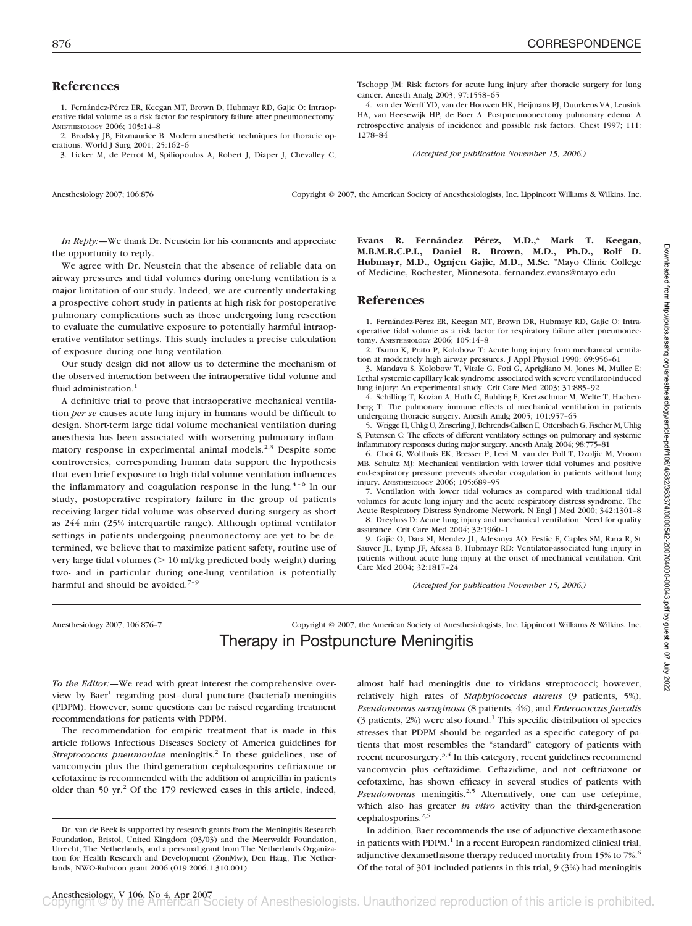#### **References**

1. Fernández-Pérez ER, Keegan MT, Brown D, Hubmayr RD, Gajic O: Intraoperative tidal volume as a risk factor for respiratory failure after pneumonectomy. ANESTHESIOLOGY 2006; 105:14–8

- 2. Brodsky JB, Fitzmaurice B: Modern anesthetic techniques for thoracic operations. World J Surg 2001; 25:162–6
- 3. Licker M, de Perrot M, Spiliopoulos A, Robert J, Diaper J, Chevalley C,

Tschopp JM: Risk factors for acute lung injury after thoracic surgery for lung cancer. Anesth Analg 2003; 97:1558–65

4. van der Werff YD, van der Houwen HK, Heijmans PJ, Duurkens VA, Leusink HA, van Heesewijk HP, de Boer A: Postpneumonectomy pulmonary edema: A retrospective analysis of incidence and possible risk factors. Chest 1997; 111: 1278–84

*(Accepted for publication November 15, 2006.)*

Anesthesiology 2007; 106:876 Copyright © 2007, the American Society of Anesthesiologists, Inc. Lippincott Williams & Wilkins, Inc.

*In Reply:—*We thank Dr. Neustein for his comments and appreciate the opportunity to reply.

We agree with Dr. Neustein that the absence of reliable data on airway pressures and tidal volumes during one-lung ventilation is a major limitation of our study. Indeed, we are currently undertaking a prospective cohort study in patients at high risk for postoperative pulmonary complications such as those undergoing lung resection to evaluate the cumulative exposure to potentially harmful intraoperative ventilator settings. This study includes a precise calculation of exposure during one-lung ventilation.

Our study design did not allow us to determine the mechanism of the observed interaction between the intraoperative tidal volume and fluid administration.<sup>1</sup>

A definitive trial to prove that intraoperative mechanical ventilation *per se* causes acute lung injury in humans would be difficult to design. Short-term large tidal volume mechanical ventilation during anesthesia has been associated with worsening pulmonary inflammatory response in experimental animal models.<sup>2,3</sup> Despite some controversies, corresponding human data support the hypothesis that even brief exposure to high-tidal-volume ventilation influences the inflammatory and coagulation response in the lung. $4-6$  In our study, postoperative respiratory failure in the group of patients receiving larger tidal volume was observed during surgery as short as 244 min (25% interquartile range). Although optimal ventilator settings in patients undergoing pneumonectomy are yet to be determined, we believe that to maximize patient safety, routine use of very large tidal volumes  $($  > 10 ml/kg predicted body weight) during two- and in particular during one-lung ventilation is potentially harmful and should be avoided.<sup>7-9</sup>

Evans R. Fernández Pérez, M.D.,\* Mark T. Keegan, **M.B.M.R.C.P.I., Daniel R. Brown, M.D., Ph.D., Rolf D. Hubmayr, M.D., Ognjen Gajic, M.D., M.Sc.** \*Mayo Clinic College of Medicine, Rochester, Minnesota. fernandez.evans@mayo.edu

#### **References**

1. Fernández-Pérez ER, Keegan MT, Brown DR, Hubmayr RD, Gajic O: Intraoperative tidal volume as a risk factor for respiratory failure after pneumonectomy. ANESTHESIOLOGY 2006; 105:14–8

2. Tsuno K, Prato P, Kolobow T: Acute lung injury from mechanical ventilation at moderately high airway pressures. J Appl Physiol 1990; 69:956–61

3. Mandava S, Kolobow T, Vitale G, Foti G, Aprigliano M, Jones M, Muller E: Lethal systemic capillary leak syndrome associated with severe ventilator-induced lung injury: An experimental study. Crit Care Med 2003; 31:885–92

4. Schilling T, Kozian A, Huth C, Buhling F, Kretzschmar M, Welte T, Hachenberg T: The pulmonary immune effects of mechanical ventilation in patients undergoing thoracic surgery. Anesth Analg 2005; 101:957–65

5. Wrigge H, Uhlig U, Zinserling J, Behrends-Callsen E, Ottersbach G, Fischer M, Uhlig S, Putensen C: The effects of different ventilatory settings on pulmonary and systemic inflammatory responses during major surgery. Anesth Analg 2004; 98:775–81

6. Choi G, Wolthuis EK, Bresser P, Levi M, van der Poll T, Dzoljic M, Vroom MB, Schultz MJ: Mechanical ventilation with lower tidal volumes and positive end-expiratory pressure prevents alveolar coagulation in patients without lung injury. ANESTHESIOLOGY 2006; 105:689–95

7. Ventilation with lower tidal volumes as compared with traditional tidal volumes for acute lung injury and the acute respiratory distress syndrome. The Acute Respiratory Distress Syndrome Network. N Engl J Med 2000; 342:1301–8 8. Dreyfuss D: Acute lung injury and mechanical ventilation: Need for quality assurance. Crit Care Med 2004; 32:1960–1

9. Gajic O, Dara SI, Mendez JL, Adesanya AO, Festic E, Caples SM, Rana R, St Sauver JL, Lymp JF, Afessa B, Hubmayr RD: Ventilator-associated lung injury in patients without acute lung injury at the onset of mechanical ventilation. Crit Care Med 2004; 32:1817–24

*(Accepted for publication November 15, 2006.)*

Anesthesiology 2007; 106:876–7 Copyright © 2007, the American Society of Anesthesiologists, Inc. Lippincott Williams & Wilkins, Inc.

Therapy in Postpuncture Meningitis

*To the Editor:—*We read with great interest the comprehensive overview by Baer<sup>1</sup> regarding post-dural puncture (bacterial) meningitis (PDPM). However, some questions can be raised regarding treatment recommendations for patients with PDPM.

The recommendation for empiric treatment that is made in this article follows Infectious Diseases Society of America guidelines for *Streptococcus pneumoniae* meningitis.<sup>2</sup> In these guidelines, use of vancomycin plus the third-generation cephalosporins ceftriaxone or cefotaxime is recommended with the addition of ampicillin in patients older than 50 yr.<sup>2</sup> Of the 179 reviewed cases in this article, indeed,

almost half had meningitis due to viridans streptococci; however, relatively high rates of *Staphylococcus aureus* (9 patients, 5%), *Pseudomonas aeruginosa* (8 patients, 4%), and *Enterococcus faecalis* (3 patients,  $2\%$ ) were also found.<sup>1</sup> This specific distribution of species stresses that PDPM should be regarded as a specific category of patients that most resembles the "standard" category of patients with recent neurosurgery.<sup>3,4</sup> In this category, recent guidelines recommend vancomycin plus ceftazidime. Ceftazidime, and not ceftriaxone or cefotaxime, has shown efficacy in several studies of patients with Pseudomonas meningitis.<sup>2,5</sup> Alternatively, one can use cefepime, which also has greater *in vitro* activity than the third-generation cephalosporins.<sup>2,5</sup>

In addition, Baer recommends the use of adjunctive dexamethasone in patients with PDPM.<sup>1</sup> In a recent European randomized clinical trial, adjunctive dexamethasone therapy reduced mortality from 15% to 7%.<sup>6</sup> Of the total of 301 included patients in this trial, 9 (3%) had meningitis

Dr. van de Beek is supported by research grants from the Meningitis Research Foundation, Bristol, United Kingdom (03/03) and the Meerwaldt Foundation, Utrecht, The Netherlands, and a personal grant from The Netherlands Organization for Health Research and Development (ZonMw), Den Haag, The Netherlands, NWO-Rubicon grant 2006 (019.2006.1.310.001).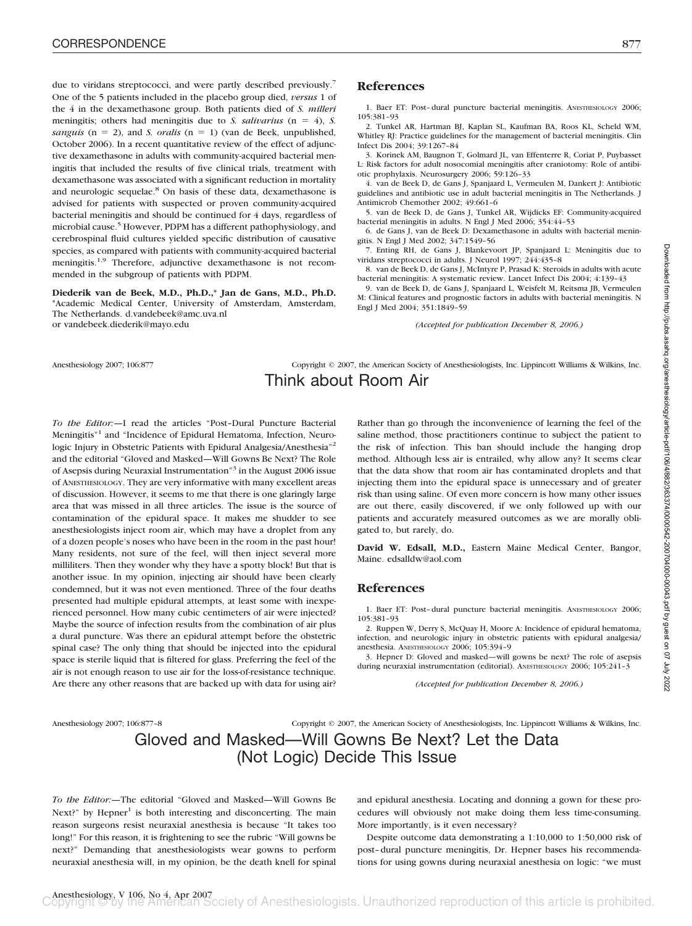due to viridans streptococci, and were partly described previously.<sup>7</sup> One of the 5 patients included in the placebo group died, *versus* 1 of the 4 in the dexamethasone group. Both patients died of *S. milleri* meningitis; others had meningitis due to *S. salivarius*  $(n = 4)$ , *S.* sanguis ( $n = 2$ ), and *S. oralis* ( $n = 1$ ) (van de Beek, unpublished, October 2006). In a recent quantitative review of the effect of adjunctive dexamethasone in adults with community-acquired bacterial meningitis that included the results of five clinical trials, treatment with dexamethasone was associated with a significant reduction in mortality and neurologic sequelae.<sup>8</sup> On basis of these data, dexamethasone is advised for patients with suspected or proven community-acquired bacterial meningitis and should be continued for 4 days, regardless of microbial cause.<sup>5</sup> However, PDPM has a different pathophysiology, and cerebrospinal fluid cultures yielded specific distribution of causative species, as compared with patients with community-acquired bacterial meningitis.1,9 Therefore, adjunctive dexamethasone is not recommended in the subgroup of patients with PDPM.

**Diederik van de Beek, M.D., Ph.D.,\* Jan de Gans, M.D., Ph.D.** \*Academic Medical Center, University of Amsterdam, Amsterdam, The Netherlands. d.vandebeek@amc.uva.nl or vandebeek.diederik@mayo.edu

#### **References**

1. Baer ET: Post– dural puncture bacterial meningitis. ANESTHESIOLOGY 2006; 105:381–93

2. Tunkel AR, Hartman BJ, Kaplan SL, Kaufman BA, Roos KL, Scheld WM, Whitley RJ: Practice guidelines for the management of bacterial meningitis. Clin Infect Dis 2004; 39:1267–84

3. Korinek AM, Baugnon T, Golmard JL, van Effenterre R, Coriat P, Puybasset L: Risk factors for adult nosocomial meningitis after craniotomy: Role of antibiotic prophylaxis. Neurosurgery 2006; 59:126–33

4. van de Beek D, de Gans J, Spanjaard L, Vermeulen M, Dankert J: Antibiotic guidelines and antibiotic use in adult bacterial meningitis in The Netherlands. J Antimicrob Chemother 2002; 49:661–6

5. van de Beek D, de Gans J, Tunkel AR, Wijdicks EF: Community-acquired bacterial meningitis in adults. N Engl J Med 2006; 354:44–53

6. de Gans J, van de Beek D: Dexamethasone in adults with bacterial meningitis. N Engl J Med 2002; 347:1549–56

7. Enting RH, de Gans J, Blankevoort JP, Spanjaard L: Meningitis due to viridans streptococci in adults. J Neurol 1997; 244:435–8

8. van de Beek D, de Gans J, McIntyre P, Prasad K: Steroids in adults with acute bacterial meningitis: A systematic review. Lancet Infect Dis 2004; 4:139–43

9. van de Beek D, de Gans J, Spanjaard L, Weisfelt M, Reitsma JB, Vermeulen M: Clinical features and prognostic factors in adults with bacterial meningitis. N Engl J Med 2004; 351:1849–59

*(Accepted for publication December 8, 2006.)*

Anesthesiology 2007; 106:877 Copyright © 2007, the American Society of Anesthesiologists, Inc. Lippincott Williams & Wilkins, Inc. Think about Room Air

*To the Editor:—*I read the articles "Post–Dural Puncture Bacterial Meningitis"1 and "Incidence of Epidural Hematoma, Infection, Neurologic Injury in Obstetric Patients with Epidural Analgesia/Anesthesia<sup>"2</sup> and the editorial "Gloved and Masked—Will Gowns Be Next? The Role of Asepsis during Neuraxial Instrumentation"3 in the August 2006 issue of ANESTHESIOLOGY. They are very informative with many excellent areas of discussion. However, it seems to me that there is one glaringly large area that was missed in all three articles. The issue is the source of contamination of the epidural space. It makes me shudder to see anesthesiologists inject room air, which may have a droplet from any of a dozen people's noses who have been in the room in the past hour! Many residents, not sure of the feel, will then inject several more milliliters. Then they wonder why they have a spotty block! But that is another issue. In my opinion, injecting air should have been clearly condemned, but it was not even mentioned. Three of the four deaths presented had multiple epidural attempts, at least some with inexperienced personnel. How many cubic centimeters of air were injected? Maybe the source of infection results from the combination of air plus a dural puncture. Was there an epidural attempt before the obstetric spinal case? The only thing that should be injected into the epidural space is sterile liquid that is filtered for glass. Preferring the feel of the air is not enough reason to use air for the loss-of-resistance technique. Are there any other reasons that are backed up with data for using air?

Rather than go through the inconvenience of learning the feel of the saline method, those practitioners continue to subject the patient to the risk of infection. This ban should include the hanging drop method. Although less air is entrailed, why allow any? It seems clear that the data show that room air has contaminated droplets and that injecting them into the epidural space is unnecessary and of greater risk than using saline. Of even more concern is how many other issues are out there, easily discovered, if we only followed up with our patients and accurately measured outcomes as we are morally obligated to, but rarely, do.

**David W. Edsall, M.D.,** Eastern Maine Medical Center, Bangor, Maine. edsalldw@aol.com

#### **References**

1. Baer ET: Post– dural puncture bacterial meningitis. ANESTHESIOLOGY 2006; 105:381–93

2. Ruppen W, Derry S, McQuay H, Moore A: Incidence of epidural hematoma, infection, and neurologic injury in obstetric patients with epidural analgesia/ anesthesia. ANESTHESIOLOGY 2006; 105:394–9

3. Hepner D: Gloved and masked—will gowns be next? The role of asepsis during neuraxial instrumentation (editorial). ANESTHESIOLOGY 2006; 105:241–3

*(Accepted for publication December 8, 2006.)*

Anesthesiology 2007; 106:877–8 Copyright © 2007, the American Society of Anesthesiologists, Inc. Lippincott Williams & Wilkins, Inc.

# Gloved and Masked—Will Gowns Be Next? Let the Data (Not Logic) Decide This Issue

*To the Editor:—*The editorial "Gloved and Masked—Will Gowns Be Next?" by Hepner<sup>1</sup> is both interesting and disconcerting. The main reason surgeons resist neuraxial anesthesia is because "It takes too long!" For this reason, it is frightening to see the rubric "Will gowns be next?" Demanding that anesthesiologists wear gowns to perform neuraxial anesthesia will, in my opinion, be the death knell for spinal and epidural anesthesia. Locating and donning a gown for these procedures will obviously not make doing them less time-consuming. More importantly, is it even necessary?

Despite outcome data demonstrating a 1:10,000 to 1:50,000 risk of post– dural puncture meningitis, Dr. Hepner bases his recommendations for using gowns during neuraxial anesthesia on logic: "we must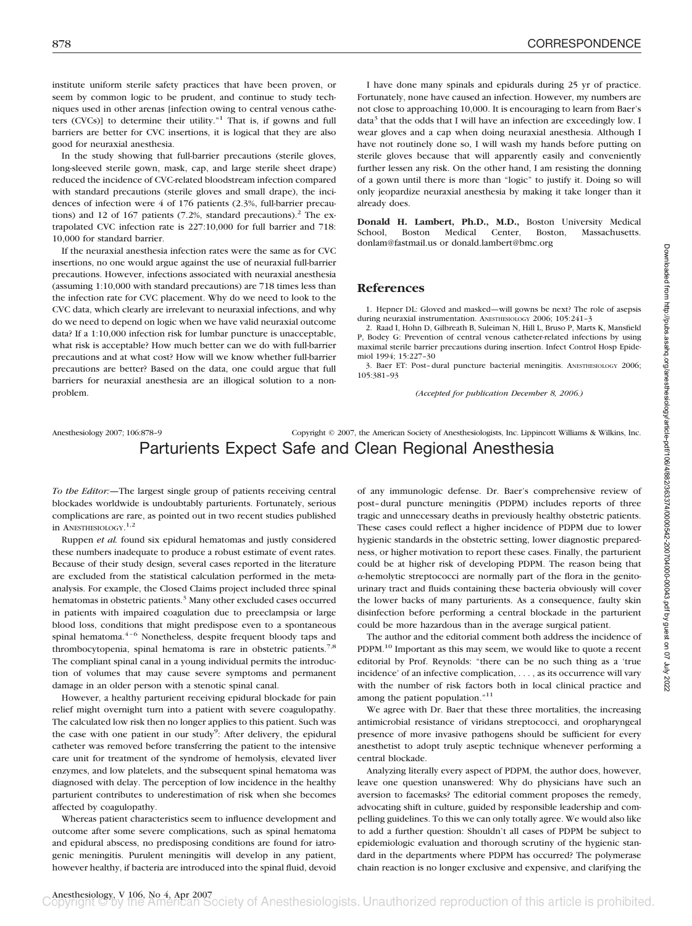institute uniform sterile safety practices that have been proven, or seem by common logic to be prudent, and continue to study techniques used in other arenas [infection owing to central venous catheters  $(CVCs)$ ] to determine their utility.<sup>"1</sup> That is, if gowns and full barriers are better for CVC insertions, it is logical that they are also good for neuraxial anesthesia.

In the study showing that full-barrier precautions (sterile gloves, long-sleeved sterile gown, mask, cap, and large sterile sheet drape) reduced the incidence of CVC-related bloodstream infection compared with standard precautions (sterile gloves and small drape), the incidences of infection were 4 of 176 patients (2.3%, full-barrier precautions) and 12 of 167 patients (7.2%, standard precautions).<sup>2</sup> The extrapolated CVC infection rate is 227:10,000 for full barrier and 718: 10,000 for standard barrier.

If the neuraxial anesthesia infection rates were the same as for CVC insertions, no one would argue against the use of neuraxial full-barrier precautions. However, infections associated with neuraxial anesthesia (assuming 1:10,000 with standard precautions) are 718 times less than the infection rate for CVC placement. Why do we need to look to the CVC data, which clearly are irrelevant to neuraxial infections, and why do we need to depend on logic when we have valid neuraxial outcome data? If a 1:10,000 infection risk for lumbar puncture is unacceptable, what risk is acceptable? How much better can we do with full-barrier precautions and at what cost? How will we know whether full-barrier precautions are better? Based on the data, one could argue that full barriers for neuraxial anesthesia are an illogical solution to a nonproblem.

I have done many spinals and epidurals during 25 yr of practice. Fortunately, none have caused an infection. However, my numbers are not close to approaching 10,000. It is encouraging to learn from Baer's  $data<sup>3</sup>$  that the odds that I will have an infection are exceedingly low. I wear gloves and a cap when doing neuraxial anesthesia. Although I have not routinely done so, I will wash my hands before putting on sterile gloves because that will apparently easily and conveniently further lessen any risk. On the other hand, I am resisting the donning of a gown until there is more than "logic" to justify it. Doing so will only jeopardize neuraxial anesthesia by making it take longer than it already does.

**Donald H. Lambert, Ph.D., M.D.,** Boston University Medical School, Boston Medical Center, Boston, donlam@fastmail.us or donald.lambert@bmc.org

#### **References**

1. Hepner DL: Gloved and masked—will gowns be next? The role of asepsis during neuraxial instrumentation. ANESTHESIOLOGY 2006: 105:241-3

2. Raad I, Hohn D, Gilbreath B, Suleiman N, Hill L, Bruso P, Marts K, Mansfield P, Bodey G: Prevention of central venous catheter-related infections by using maximal sterile barrier precautions during insertion. Infect Control Hosp Epidemiol 1994; 15:227–30

3. Baer ET: Post– dural puncture bacterial meningitis. ANESTHESIOLOGY 2006; 105:381–93

*(Accepted for publication December 8, 2006.)*

## Anesthesiology 2007; 106:878–9 Copyright © 2007, the American Society of Anesthesiologists, Inc. Lippincott Williams & Wilkins, Inc. Parturients Expect Safe and Clean Regional Anesthesia

*To the Editor:—*The largest single group of patients receiving central blockades worldwide is undoubtably parturients. Fortunately, serious complications are rare, as pointed out in two recent studies published in ANESTHESIOLOGY.<sup>1,2</sup>

Ruppen *et al.* found six epidural hematomas and justly considered these numbers inadequate to produce a robust estimate of event rates. Because of their study design, several cases reported in the literature are excluded from the statistical calculation performed in the metaanalysis. For example, the Closed Claims project included three spinal hematomas in obstetric patients.<sup>3</sup> Many other excluded cases occurred in patients with impaired coagulation due to preeclampsia or large blood loss, conditions that might predispose even to a spontaneous spinal hematoma.<sup>4-6</sup> Nonetheless, despite frequent bloody taps and thrombocytopenia, spinal hematoma is rare in obstetric patients.<sup>7,8</sup> The compliant spinal canal in a young individual permits the introduction of volumes that may cause severe symptoms and permanent damage in an older person with a stenotic spinal canal.

However, a healthy parturient receiving epidural blockade for pain relief might overnight turn into a patient with severe coagulopathy. The calculated low risk then no longer applies to this patient. Such was the case with one patient in our study<sup>9</sup>: After delivery, the epidural catheter was removed before transferring the patient to the intensive care unit for treatment of the syndrome of hemolysis, elevated liver enzymes, and low platelets, and the subsequent spinal hematoma was diagnosed with delay. The perception of low incidence in the healthy parturient contributes to underestimation of risk when she becomes affected by coagulopathy.

Whereas patient characteristics seem to influence development and outcome after some severe complications, such as spinal hematoma and epidural abscess, no predisposing conditions are found for iatrogenic meningitis. Purulent meningitis will develop in any patient, however healthy, if bacteria are introduced into the spinal fluid, devoid of any immunologic defense. Dr. Baer's comprehensive review of post– dural puncture meningitis (PDPM) includes reports of three tragic and unnecessary deaths in previously healthy obstetric patients. These cases could reflect a higher incidence of PDPM due to lower hygienic standards in the obstetric setting, lower diagnostic preparedness, or higher motivation to report these cases. Finally, the parturient could be at higher risk of developing PDPM. The reason being that --hemolytic streptococci are normally part of the flora in the genitourinary tract and fluids containing these bacteria obviously will cover the lower backs of many parturients. As a consequence, faulty skin disinfection before performing a central blockade in the parturient could be more hazardous than in the average surgical patient.

The author and the editorial comment both address the incidence of PDPM.<sup>10</sup> Important as this may seem, we would like to quote a recent editorial by Prof. Reynolds: "there can be no such thing as a 'true incidence' of an infective complication, . . . , as its occurrence will vary with the number of risk factors both in local clinical practice and among the patient population."<sup>11</sup>

We agree with Dr. Baer that these three mortalities, the increasing antimicrobial resistance of viridans streptococci, and oropharyngeal presence of more invasive pathogens should be sufficient for every anesthetist to adopt truly aseptic technique whenever performing a central blockade.

Analyzing literally every aspect of PDPM, the author does, however, leave one question unanswered: Why do physicians have such an aversion to facemasks? The editorial comment proposes the remedy, advocating shift in culture, guided by responsible leadership and compelling guidelines. To this we can only totally agree. We would also like to add a further question: Shouldn't all cases of PDPM be subject to epidemiologic evaluation and thorough scrutiny of the hygienic standard in the departments where PDPM has occurred? The polymerase chain reaction is no longer exclusive and expensive, and clarifying the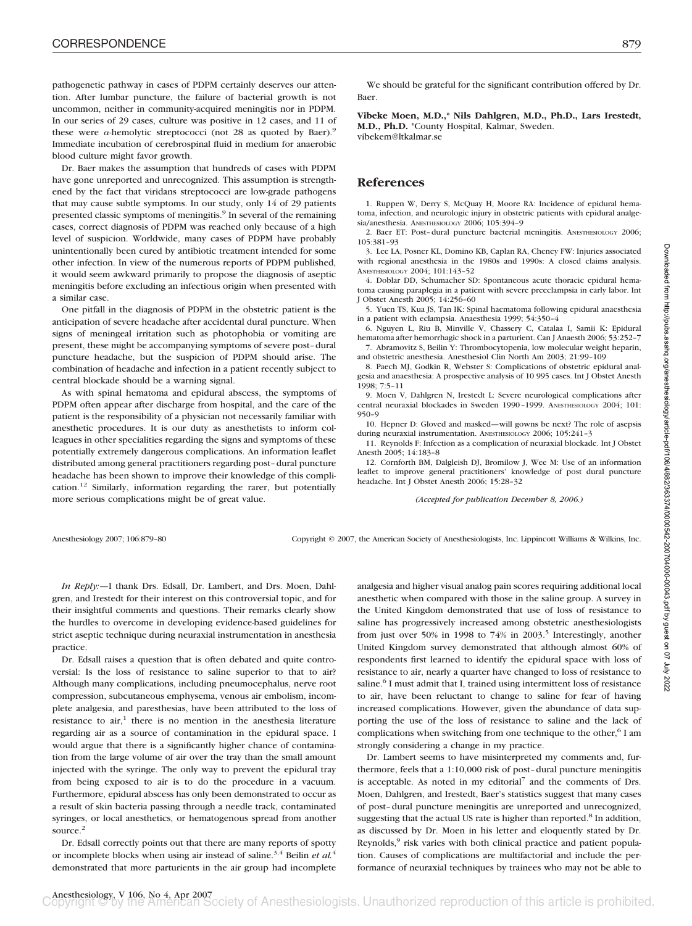pathogenetic pathway in cases of PDPM certainly deserves our attention. After lumbar puncture, the failure of bacterial growth is not uncommon, neither in community-acquired meningitis nor in PDPM. In our series of 29 cases, culture was positive in 12 cases, and 11 of these were  $\alpha$ -hemolytic streptococci (not 28 as quoted by Baer).<sup>9</sup> Immediate incubation of cerebrospinal fluid in medium for anaerobic blood culture might favor growth.

Dr. Baer makes the assumption that hundreds of cases with PDPM have gone unreported and unrecognized. This assumption is strengthened by the fact that viridans streptococci are low-grade pathogens that may cause subtle symptoms. In our study, only 14 of 29 patients presented classic symptoms of meningitis.9 In several of the remaining cases, correct diagnosis of PDPM was reached only because of a high level of suspicion. Worldwide, many cases of PDPM have probably unintentionally been cured by antibiotic treatment intended for some other infection. In view of the numerous reports of PDPM published, it would seem awkward primarily to propose the diagnosis of aseptic meningitis before excluding an infectious origin when presented with a similar case.

One pitfall in the diagnosis of PDPM in the obstetric patient is the anticipation of severe headache after accidental dural puncture. When signs of meningeal irritation such as photophobia or vomiting are present, these might be accompanying symptoms of severe post– dural puncture headache, but the suspicion of PDPM should arise. The combination of headache and infection in a patient recently subject to central blockade should be a warning signal.

As with spinal hematoma and epidural abscess, the symptoms of PDPM often appear after discharge from hospital, and the care of the patient is the responsibility of a physician not necessarily familiar with anesthetic procedures. It is our duty as anesthetists to inform colleagues in other specialities regarding the signs and symptoms of these potentially extremely dangerous complications. An information leaflet distributed among general practitioners regarding post– dural puncture headache has been shown to improve their knowledge of this complication.12 Similarly, information regarding the rarer, but potentially more serious complications might be of great value.

We should be grateful for the significant contribution offered by Dr. Baer.

**Vibeke Moen, M.D.,\* Nils Dahlgren, M.D., Ph.D., Lars Irestedt, M.D., Ph.D.** \*County Hospital, Kalmar, Sweden. vibekem@ltkalmar.se

### **References**

1. Ruppen W, Derry S, McQuay H, Moore RA: Incidence of epidural hematoma, infection, and neurologic injury in obstetric patients with epidural analgesia/anesthesia. ANESTHESIOLOGY 2006; 105:394–9

2. Baer ET: Post– dural puncture bacterial meningitis. ANESTHESIOLOGY 2006; 105:381–93

3. Lee LA, Posner KL, Domino KB, Caplan RA, Cheney FW: Injuries associated with regional anesthesia in the 1980s and 1990s: A closed claims analysis. ANESTHESIOLOGY 2004; 101:143–52

4. Doblar DD, Schumacher SD: Spontaneous acute thoracic epidural hematoma causing paraplegia in a patient with severe preeclampsia in early labor. Int J Obstet Anesth 2005; 14:256–60

5. Yuen TS, Kua JS, Tan IK: Spinal haematoma following epidural anaesthesia in a patient with eclampsia. Anaesthesia 1999; 54:350–4

6. Nguyen L, Riu B, Minville V, Chassery C, Catalaa I, Samii K: Epidural hematoma after hemorrhagic shock in a parturient. Can J Anaesth 2006; 53:252–7

7. Abramovitz S, Beilin Y: Thrombocytopenia, low molecular weight heparin, and obstetric anesthesia. Anesthesiol Clin North Am 2003; 21:99–109

8. Paech MJ, Godkin R, Webster S: Complications of obstetric epidural analgesia and anaesthesia: A prospective analysis of 10 995 cases. Int J Obstet Anesth 1998; 7:5–11

9. Moen V, Dahlgren N, Irestedt L: Severe neurological complications after central neuraxial blockades in Sweden 1990 –1999. ANESTHESIOLOGY 2004; 101:  $950 - 9$ 

10. Hepner D: Gloved and masked—will gowns be next? The role of asepsis during neuraxial instrumentation. ANESTHESIOLOGY 2006; 105:241–3

11. Reynolds F: Infection as a complication of neuraxial blockade. Int J Obstet Anesth 2005; 14:183–8

12. Cornforth BM, Dalgleish DJ, Bromilow J, Wee M: Use of an information leaflet to improve general practitioners' knowledge of post dural puncture headache. Int J Obstet Anesth 2006; 15:28–32

*(Accepted for publication December 8, 2006.)*

Anesthesiology 2007; 106:879–80 Copyright © 2007, the American Society of Anesthesiologists, Inc. Lippincott Williams & Wilkins, Inc.

*In Reply:—*I thank Drs. Edsall, Dr. Lambert, and Drs. Moen, Dahlgren, and Irestedt for their interest on this controversial topic, and for their insightful comments and questions. Their remarks clearly show the hurdles to overcome in developing evidence-based guidelines for strict aseptic technique during neuraxial instrumentation in anesthesia practice.

Dr. Edsall raises a question that is often debated and quite controversial: Is the loss of resistance to saline superior to that to air? Although many complications, including pneumocephalus, nerve root compression, subcutaneous emphysema, venous air embolism, incomplete analgesia, and paresthesias, have been attributed to the loss of resistance to air, $\frac{1}{1}$  there is no mention in the anesthesia literature regarding air as a source of contamination in the epidural space. I would argue that there is a significantly higher chance of contamination from the large volume of air over the tray than the small amount injected with the syringe. The only way to prevent the epidural tray from being exposed to air is to do the procedure in a vacuum. Furthermore, epidural abscess has only been demonstrated to occur as a result of skin bacteria passing through a needle track, contaminated syringes, or local anesthetics, or hematogenous spread from another source.<sup>2</sup>

Dr. Edsall correctly points out that there are many reports of spotty or incomplete blocks when using air instead of saline.<sup>3,4</sup> Beilin *et al.*<sup>4</sup> demonstrated that more parturients in the air group had incomplete analgesia and higher visual analog pain scores requiring additional local anesthetic when compared with those in the saline group. A survey in the United Kingdom demonstrated that use of loss of resistance to saline has progressively increased among obstetric anesthesiologists from just over 50% in 1998 to  $74%$  in 2003.<sup>5</sup> Interestingly, another United Kingdom survey demonstrated that although almost 60% of respondents first learned to identify the epidural space with loss of resistance to air, nearly a quarter have changed to loss of resistance to saline.<sup>6</sup> I must admit that I, trained using intermittent loss of resistance to air, have been reluctant to change to saline for fear of having increased complications. However, given the abundance of data supporting the use of the loss of resistance to saline and the lack of complications when switching from one technique to the other,<sup>6</sup> I am strongly considering a change in my practice.

Dr. Lambert seems to have misinterpreted my comments and, furthermore, feels that a 1:10,000 risk of post– dural puncture meningitis is acceptable. As noted in my editorial<sup>7</sup> and the comments of Drs. Moen, Dahlgren, and Irestedt, Baer's statistics suggest that many cases of post– dural puncture meningitis are unreported and unrecognized, suggesting that the actual US rate is higher than reported.<sup>8</sup> In addition, as discussed by Dr. Moen in his letter and eloquently stated by Dr. Reynolds,<sup>9</sup> risk varies with both clinical practice and patient population. Causes of complications are multifactorial and include the performance of neuraxial techniques by trainees who may not be able to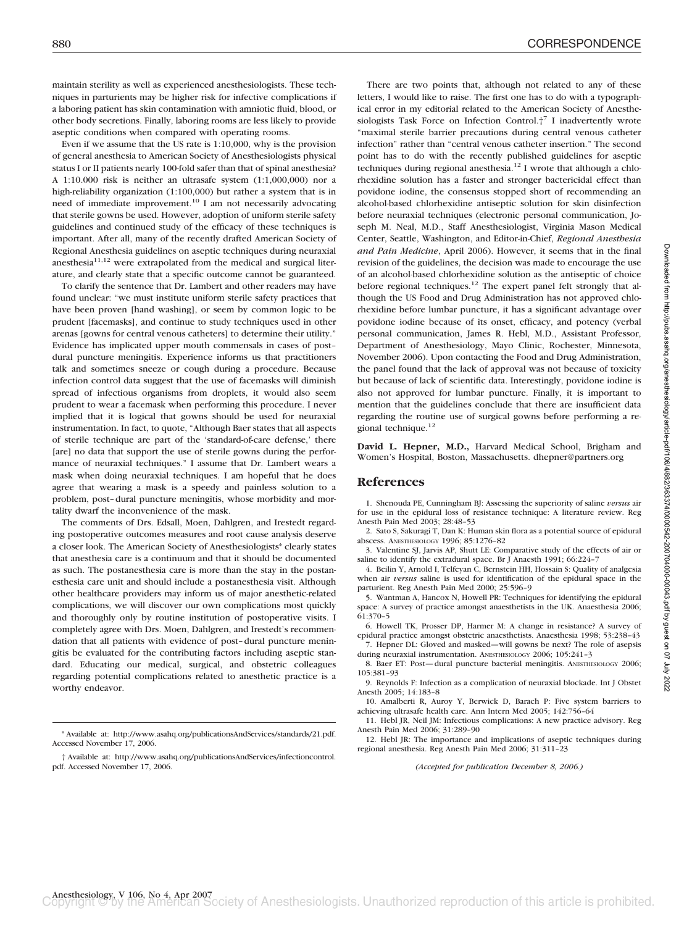maintain sterility as well as experienced anesthesiologists. These techniques in parturients may be higher risk for infective complications if a laboring patient has skin contamination with amniotic fluid, blood, or other body secretions. Finally, laboring rooms are less likely to provide aseptic conditions when compared with operating rooms.

Even if we assume that the US rate is 1:10,000, why is the provision of general anesthesia to American Society of Anesthesiologists physical status I or II patients nearly 100-fold safer than that of spinal anesthesia? A 1:10.000 risk is neither an ultrasafe system (1:1,000,000) nor a high-reliability organization (1:100,000) but rather a system that is in need of immediate improvement.<sup>10</sup> I am not necessarily advocating that sterile gowns be used. However, adoption of uniform sterile safety guidelines and continued study of the efficacy of these techniques is important. After all, many of the recently drafted American Society of Regional Anesthesia guidelines on aseptic techniques during neuraxial anesthesia $11,12$  were extrapolated from the medical and surgical literature, and clearly state that a specific outcome cannot be guaranteed.

To clarify the sentence that Dr. Lambert and other readers may have found unclear: "we must institute uniform sterile safety practices that have been proven [hand washing], or seem by common logic to be prudent [facemasks], and continue to study techniques used in other arenas [gowns for central venous catheters] to determine their utility." Evidence has implicated upper mouth commensals in cases of post– dural puncture meningitis. Experience informs us that practitioners talk and sometimes sneeze or cough during a procedure. Because infection control data suggest that the use of facemasks will diminish spread of infectious organisms from droplets, it would also seem prudent to wear a facemask when performing this procedure. I never implied that it is logical that gowns should be used for neuraxial instrumentation. In fact, to quote, "Although Baer states that all aspects of sterile technique are part of the 'standard-of-care defense,' there [are] no data that support the use of sterile gowns during the performance of neuraxial techniques." I assume that Dr. Lambert wears a mask when doing neuraxial techniques. I am hopeful that he does agree that wearing a mask is a speedy and painless solution to a problem, post– dural puncture meningitis, whose morbidity and mortality dwarf the inconvenience of the mask.

The comments of Drs. Edsall, Moen, Dahlgren, and Irestedt regarding postoperative outcomes measures and root cause analysis deserve a closer look. The American Society of Anesthesiologists\* clearly states that anesthesia care is a continuum and that it should be documented as such. The postanesthesia care is more than the stay in the postanesthesia care unit and should include a postanesthesia visit. Although other healthcare providers may inform us of major anesthetic-related complications, we will discover our own complications most quickly and thoroughly only by routine institution of postoperative visits. I completely agree with Drs. Moen, Dahlgren, and Irestedt's recommendation that all patients with evidence of post– dural puncture meningitis be evaluated for the contributing factors including aseptic standard. Educating our medical, surgical, and obstetric colleagues regarding potential complications related to anesthetic practice is a worthy endeavor.

There are two points that, although not related to any of these letters, I would like to raise. The first one has to do with a typographical error in my editorial related to the American Society of Anesthesiologists Task Force on Infection Control.<sup>†7</sup> I inadvertently wrote "maximal sterile barrier precautions during central venous catheter infection" rather than "central venous catheter insertion." The second point has to do with the recently published guidelines for aseptic techniques during regional anesthesia.<sup>12</sup> I wrote that although a chlorhexidine solution has a faster and stronger bactericidal effect than povidone iodine, the consensus stopped short of recommending an alcohol-based chlorhexidine antiseptic solution for skin disinfection before neuraxial techniques (electronic personal communication, Joseph M. Neal, M.D., Staff Anesthesiologist, Virginia Mason Medical Center, Seattle, Washington, and Editor-in-Chief, *Regional Anesthesia and Pain Medicine*, April 2006). However, it seems that in the final revision of the guidelines, the decision was made to encourage the use of an alcohol-based chlorhexidine solution as the antiseptic of choice before regional techniques.<sup>12</sup> The expert panel felt strongly that although the US Food and Drug Administration has not approved chlorhexidine before lumbar puncture, it has a significant advantage over povidone iodine because of its onset, efficacy, and potency (verbal personal communication, James R. Hebl, M.D., Assistant Professor, Department of Anesthesiology, Mayo Clinic, Rochester, Minnesota, November 2006). Upon contacting the Food and Drug Administration, the panel found that the lack of approval was not because of toxicity but because of lack of scientific data. Interestingly, povidone iodine is also not approved for lumbar puncture. Finally, it is important to mention that the guidelines conclude that there are insufficient data regarding the routine use of surgical gowns before performing a regional technique.<sup>12</sup>

**David L. Hepner, M.D.,** Harvard Medical School, Brigham and Women's Hospital, Boston, Massachusetts. dhepner@partners.org

#### **References**

1. Shenouda PE, Cunningham BJ: Assessing the superiority of saline *versus* air for use in the epidural loss of resistance technique: A literature review. Reg Anesth Pain Med 2003; 28:48–53

2. Sato S, Sakuragi T, Dan K: Human skin flora as a potential source of epidural abscess. ANESTHESIOLOGY 1996; 85:1276–82

3. Valentine SJ, Jarvis AP, Shutt LE: Comparative study of the effects of air or saline to identify the extradural space. Br J Anaesth 1991; 66:224–7

4. Beilin Y, Arnold I, Telfeyan C, Bernstein HH, Hossain S: Quality of analgesia when air *versus* saline is used for identification of the epidural space in the parturient. Reg Anesth Pain Med 2000; 25:596–9

5. Wantman A, Hancox N, Howell PR: Techniques for identifying the epidural space: A survey of practice amongst anaesthetists in the UK. Anaesthesia 2006; 61:370–5

6. Howell TK, Prosser DP, Harmer M: A change in resistance? A survey of epidural practice amongst obstetric anaesthetists. Anaesthesia 1998; 53:238–43

7. Hepner DL: Gloved and masked—will gowns be next? The role of asepsis during neuraxial instrumentation. ANESTHESIOLOGY 2006; 105:241–3

8. Baer ET: Post-dural puncture bacterial meningitis. ANESTHESIOLOGY 2006; 105:381–93

9. Reynolds F: Infection as a complication of neuraxial blockade. Int J Obstet Anesth 2005; 14:183–8

10. Amalberti R, Auroy Y, Berwick D, Barach P: Five system barriers to achieving ultrasafe health care. Ann Intern Med 2005; 142:756–64

11. Hebl JR, Neil JM: Infectious complications: A new practice advisory. Reg Anesth Pain Med 2006; 31:289–90

12. Hebl JR: The importance and implications of aseptic techniques during regional anesthesia. Reg Anesth Pain Med 2006; 31:311–23

*(Accepted for publication December 8, 2006.)*

<sup>\*</sup> Available at: http://www.asahq.org/publicationsAndServices/standards/21.pdf. Accessed November 17, 2006.

<sup>†</sup> Available at: http://www.asahq.org/publicationsAndServices/infectioncontrol. pdf. Accessed November 17, 2006.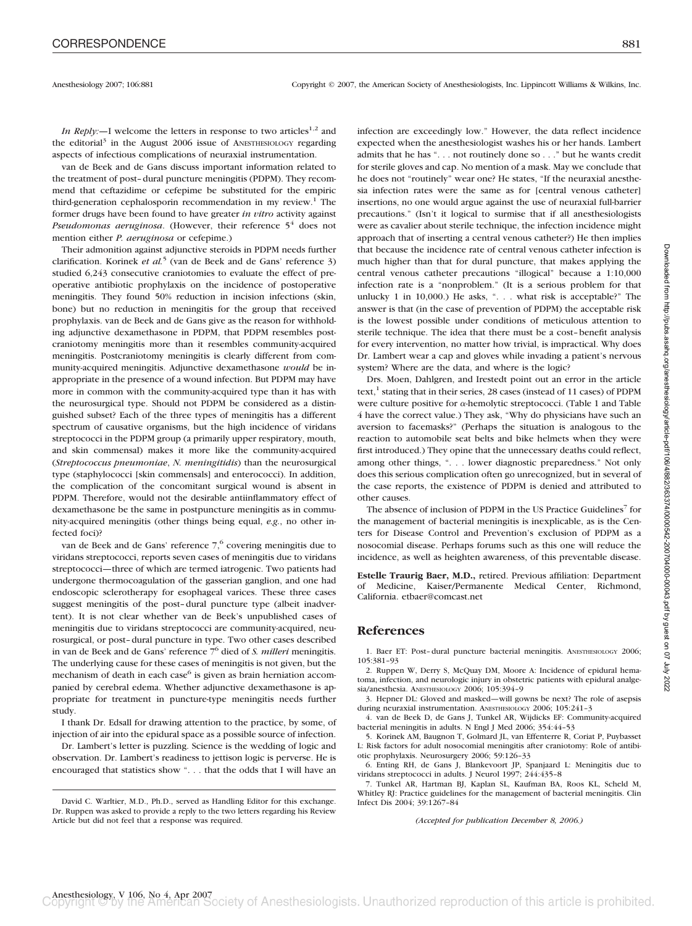*In Reply:*—I welcome the letters in response to two articles<sup>1,2</sup> and the editorial<sup>3</sup> in the August 2006 issue of ANESTHESIOLOGY regarding aspects of infectious complications of neuraxial instrumentation.

van de Beek and de Gans discuss important information related to the treatment of post– dural puncture meningitis (PDPM). They recommend that ceftazidime or cefepime be substituted for the empiric third-generation cephalosporin recommendation in my review.<sup>1</sup> The former drugs have been found to have greater *in vitro* activity against Pseudomonas aeruginosa. (However, their reference 5<sup>4</sup> does not mention either *P. aeruginosa* or cefepime.)

Their admonition against adjunctive steroids in PDPM needs further clarification. Korinek *et al.*<sup>5</sup> (van de Beek and de Gans' reference 3) studied 6,243 consecutive craniotomies to evaluate the effect of preoperative antibiotic prophylaxis on the incidence of postoperative meningitis. They found 50% reduction in incision infections (skin, bone) but no reduction in meningitis for the group that received prophylaxis. van de Beek and de Gans give as the reason for withholding adjunctive dexamethasone in PDPM, that PDPM resembles postcraniotomy meningitis more than it resembles community-acquired meningitis. Postcraniotomy meningitis is clearly different from community-acquired meningitis. Adjunctive dexamethasone *would* be inappropriate in the presence of a wound infection. But PDPM may have more in common with the community-acquired type than it has with the neurosurgical type. Should not PDPM be considered as a distinguished subset? Each of the three types of meningitis has a different spectrum of causative organisms, but the high incidence of viridans streptococci in the PDPM group (a primarily upper respiratory, mouth, and skin commensal) makes it more like the community-acquired (*Streptococcus pneumoniae*, *N. meningitidis*) than the neurosurgical type (staphylococci [skin commensals] and enterococci). In addition, the complication of the concomitant surgical wound is absent in PDPM. Therefore, would not the desirable antiinflammatory effect of dexamethasone be the same in postpuncture meningitis as in community-acquired meningitis (other things being equal, *e.g.*, no other infected foci)?

van de Beek and de Gans' reference 7,<sup>6</sup> covering meningitis due to viridans streptococci, reports seven cases of meningitis due to viridans streptococci—three of which are termed iatrogenic. Two patients had undergone thermocoagulation of the gasserian ganglion, and one had endoscopic sclerotherapy for esophageal varices. These three cases suggest meningitis of the post– dural puncture type (albeit inadvertent). It is not clear whether van de Beek's unpublished cases of meningitis due to viridans streptococci are community-acquired, neurosurgical, or post– dural puncture in type. Two other cases described in van de Beek and de Gans' reference 76 died of *S. milleri* meningitis. The underlying cause for these cases of meningitis is not given, but the mechanism of death in each case $<sup>6</sup>$  is given as brain herniation accom-</sup> panied by cerebral edema. Whether adjunctive dexamethasone is appropriate for treatment in puncture-type meningitis needs further study.

I thank Dr. Edsall for drawing attention to the practice, by some, of injection of air into the epidural space as a possible source of infection.

Dr. Lambert's letter is puzzling. Science is the wedding of logic and observation. Dr. Lambert's readiness to jettison logic is perverse. He is encouraged that statistics show ". . . that the odds that I will have an

David C. Warltier, M.D., Ph.D., served as Handling Editor for this exchange. Dr. Ruppen was asked to provide a reply to the two letters regarding his Review Article but did not feel that a response was required.

infection are exceedingly low." However, the data reflect incidence expected when the anesthesiologist washes his or her hands. Lambert admits that he has ". . . not routinely done so . . ." but he wants credit for sterile gloves and cap. No mention of a mask. May we conclude that he does not "routinely" wear one? He states, "If the neuraxial anesthesia infection rates were the same as for [central venous catheter] insertions, no one would argue against the use of neuraxial full-barrier precautions." (Isn't it logical to surmise that if all anesthesiologists were as cavalier about sterile technique, the infection incidence might approach that of inserting a central venous catheter?) He then implies that because the incidence rate of central venous catheter infection is much higher than that for dural puncture, that makes applying the central venous catheter precautions "illogical" because a 1:10,000 infection rate is a "nonproblem." (It is a serious problem for that unlucky 1 in 10,000.) He asks, ". . . what risk is acceptable?" The answer is that (in the case of prevention of PDPM) the acceptable risk is the lowest possible under conditions of meticulous attention to sterile technique. The idea that there must be a cost– benefit analysis for every intervention, no matter how trivial, is impractical. Why does Dr. Lambert wear a cap and gloves while invading a patient's nervous system? Where are the data, and where is the logic?

Drs. Moen, Dahlgren, and Irestedt point out an error in the article text, $<sup>1</sup>$  stating that in their series, 28 cases (instead of 11 cases) of PDPM</sup> were culture positive for  $\alpha$ -hemolytic streptococci. (Table 1 and Table 4 have the correct value.) They ask, "Why do physicians have such an aversion to facemasks?" (Perhaps the situation is analogous to the reaction to automobile seat belts and bike helmets when they were first introduced.) They opine that the unnecessary deaths could reflect, among other things, ". . . lower diagnostic preparedness." Not only does this serious complication often go unrecognized, but in several of the case reports, the existence of PDPM is denied and attributed to other causes.

The absence of inclusion of PDPM in the US Practice Guidelines<sup>7</sup> for the management of bacterial meningitis is inexplicable, as is the Centers for Disease Control and Prevention's exclusion of PDPM as a nosocomial disease. Perhaps forums such as this one will reduce the incidence, as well as heighten awareness, of this preventable disease.

**Estelle Traurig Baer, M.D.,** retired. Previous affiliation: Department of Medicine, Kaiser/Permanente Medical Center, Richmond, California. etbaer@comcast.net

### **References**

1. Baer ET: Post– dural puncture bacterial meningitis. ANESTHESIOLOGY 2006; 105:381–93

2. Ruppen W, Derry S, McQuay DM, Moore A: Incidence of epidural hematoma, infection, and neurologic injury in obstetric patients with epidural analgesia/anesthesia. ANESTHESIOLOGY 2006: 105:394-9

3. Hepner DL: Gloved and masked—will gowns be next? The role of asepsis during neuraxial instrumentation. ANESTHESIOLOGY 2006; 105:241–3

4. van de Beek D, de Gans J, Tunkel AR, Wijdicks EF: Community-acquired bacterial meningitis in adults. N Engl J Med 2006; 354:44–53

5. Korinek AM, Baugnon T, Golmard JL, van Effenterre R, Coriat P, Puybasset L: Risk factors for adult nosocomial meningitis after craniotomy: Role of antibiotic prophylaxis. Neurosurgery 2006; 59:126–33

6. Enting RH, de Gans J, Blankevoort JP, Spanjaard L: Meningitis due to viridans streptococci in adults. J Neurol 1997; 244:435–8

7. Tunkel AR, Hartman BJ, Kaplan SL, Kaufman BA, Roos KL, Scheld M, Whitley RJ: Practice guidelines for the management of bacterial meningitis. Clin Infect Dis 2004; 39:1267–84

*(Accepted for publication December 8, 2006.)*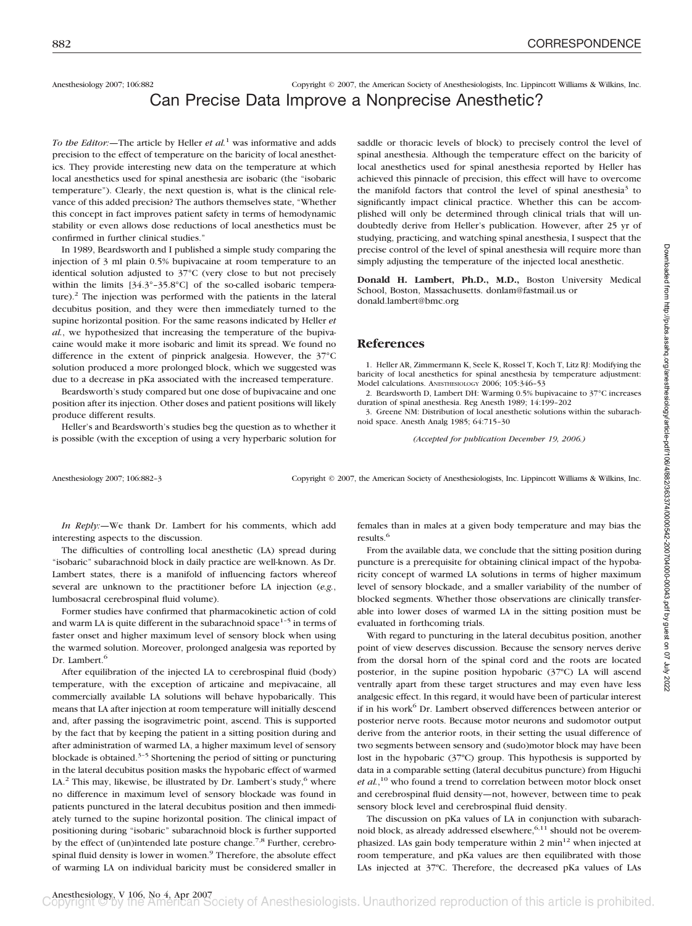Anesthesiology 2007; 106:882 Copyright © 2007, the American Society of Anesthesiologists, Inc. Lippincott Williams & Wilkins, Inc.

# Can Precise Data Improve a Nonprecise Anesthetic?

*To the Editor:—*The article by Heller *et al.*<sup>1</sup> was informative and adds precision to the effect of temperature on the baricity of local anesthetics. They provide interesting new data on the temperature at which local anesthetics used for spinal anesthesia are isobaric (the "isobaric temperature"). Clearly, the next question is, what is the clinical relevance of this added precision? The authors themselves state, "Whether this concept in fact improves patient safety in terms of hemodynamic stability or even allows dose reductions of local anesthetics must be confirmed in further clinical studies."

In 1989, Beardsworth and I published a simple study comparing the injection of 3 ml plain 0.5% bupivacaine at room temperature to an identical solution adjusted to 37°C (very close to but not precisely within the limits [34.3°–35.8°C] of the so-called isobaric temperature).<sup>2</sup> The injection was performed with the patients in the lateral decubitus position, and they were then immediately turned to the supine horizontal position. For the same reasons indicated by Heller *et al.*, we hypothesized that increasing the temperature of the bupivacaine would make it more isobaric and limit its spread. We found no difference in the extent of pinprick analgesia. However, the 37°C solution produced a more prolonged block, which we suggested was due to a decrease in pKa associated with the increased temperature.

Beardsworth's study compared but one dose of bupivacaine and one position after its injection. Other doses and patient positions will likely produce different results.

Heller's and Beardsworth's studies beg the question as to whether it is possible (with the exception of using a very hyperbaric solution for

saddle or thoracic levels of block) to precisely control the level of spinal anesthesia. Although the temperature effect on the baricity of local anesthetics used for spinal anesthesia reported by Heller has achieved this pinnacle of precision, this effect will have to overcome the manifold factors that control the level of spinal anesthesia<sup>3</sup> to significantly impact clinical practice. Whether this can be accomplished will only be determined through clinical trials that will undoubtedly derive from Heller's publication. However, after 25 yr of studying, practicing, and watching spinal anesthesia, I suspect that the precise control of the level of spinal anesthesia will require more than simply adjusting the temperature of the injected local anesthetic.

**Donald H. Lambert, Ph.D., M.D.,** Boston University Medical School, Boston, Massachusetts. donlam@fastmail.us or donald.lambert@bmc.org

#### **References**

1. Heller AR, Zimmermann K, Seele K, Rossel T, Koch T, Litz RJ: Modifying the baricity of local anesthetics for spinal anesthesia by temperature adjustment: Model calculations. ANESTHESIOLOGY 2006: 105:346-53

2. Beardsworth D, Lambert DH: Warming 0.5% bupivacaine to 37°C increases duration of spinal anesthesia. Reg Anesth 1989; 14:199–202

3. Greene NM: Distribution of local anesthetic solutions within the subarachnoid space. Anesth Analg 1985; 64:715–30

*(Accepted for publication December 19, 2006.)*

Anesthesiology 2007; 106:882–3 Copyright © 2007, the American Society of Anesthesiologists, Inc. Lippincott Williams & Wilkins, Inc.

*In Reply:—*We thank Dr. Lambert for his comments, which add interesting aspects to the discussion.

The difficulties of controlling local anesthetic (LA) spread during "isobaric" subarachnoid block in daily practice are well-known. As Dr. Lambert states, there is a manifold of influencing factors whereof several are unknown to the practitioner before LA injection (*e.g.*, lumbosacral cerebrospinal fluid volume).

Former studies have confirmed that pharmacokinetic action of cold and warm LA is quite different in the subarachnoid space $1-5$  in terms of faster onset and higher maximum level of sensory block when using the warmed solution. Moreover, prolonged analgesia was reported by Dr. Lambert.<sup>6</sup>

After equilibration of the injected LA to cerebrospinal fluid (body) temperature, with the exception of articaine and mepivacaine, all commercially available LA solutions will behave hypobarically. This means that LA after injection at room temperature will initially descend and, after passing the isogravimetric point, ascend. This is supported by the fact that by keeping the patient in a sitting position during and after administration of warmed LA, a higher maximum level of sensory blockade is obtained.<sup>3-5</sup> Shortening the period of sitting or puncturing in the lateral decubitus position masks the hypobaric effect of warmed LA.<sup>2</sup> This may, likewise, be illustrated by Dr. Lambert's study, $6$  where no difference in maximum level of sensory blockade was found in patients punctured in the lateral decubitus position and then immediately turned to the supine horizontal position. The clinical impact of positioning during "isobaric" subarachnoid block is further supported by the effect of (un)intended late posture change.<sup>7,8</sup> Further, cerebrospinal fluid density is lower in women.<sup>9</sup> Therefore, the absolute effect of warming LA on individual baricity must be considered smaller in

females than in males at a given body temperature and may bias the results.<sup>6</sup>

From the available data, we conclude that the sitting position during puncture is a prerequisite for obtaining clinical impact of the hypobaricity concept of warmed LA solutions in terms of higher maximum level of sensory blockade, and a smaller variability of the number of blocked segments. Whether those observations are clinically transferable into lower doses of warmed LA in the sitting position must be evaluated in forthcoming trials.

With regard to puncturing in the lateral decubitus position, another point of view deserves discussion. Because the sensory nerves derive from the dorsal horn of the spinal cord and the roots are located posterior, in the supine position hypobaric (37ºC) LA will ascend ventrally apart from these target structures and may even have less analgesic effect. In this regard, it would have been of particular interest if in his work<sup>6</sup> Dr. Lambert observed differences between anterior or posterior nerve roots. Because motor neurons and sudomotor output derive from the anterior roots, in their setting the usual difference of two segments between sensory and (sudo)motor block may have been lost in the hypobaric (37ºC) group. This hypothesis is supported by data in a comparable setting (lateral decubitus puncture) from Higuchi et al.,<sup>10</sup> who found a trend to correlation between motor block onset and cerebrospinal fluid density—not, however, between time to peak sensory block level and cerebrospinal fluid density.

The discussion on pKa values of LA in conjunction with subarachnoid block, as already addressed elsewhere,<sup>6,11</sup> should not be overemphasized. LAs gain body temperature within 2  $min<sup>12</sup>$  when injected at room temperature, and pKa values are then equilibrated with those LAs injected at 37ºC. Therefore, the decreased pKa values of LAs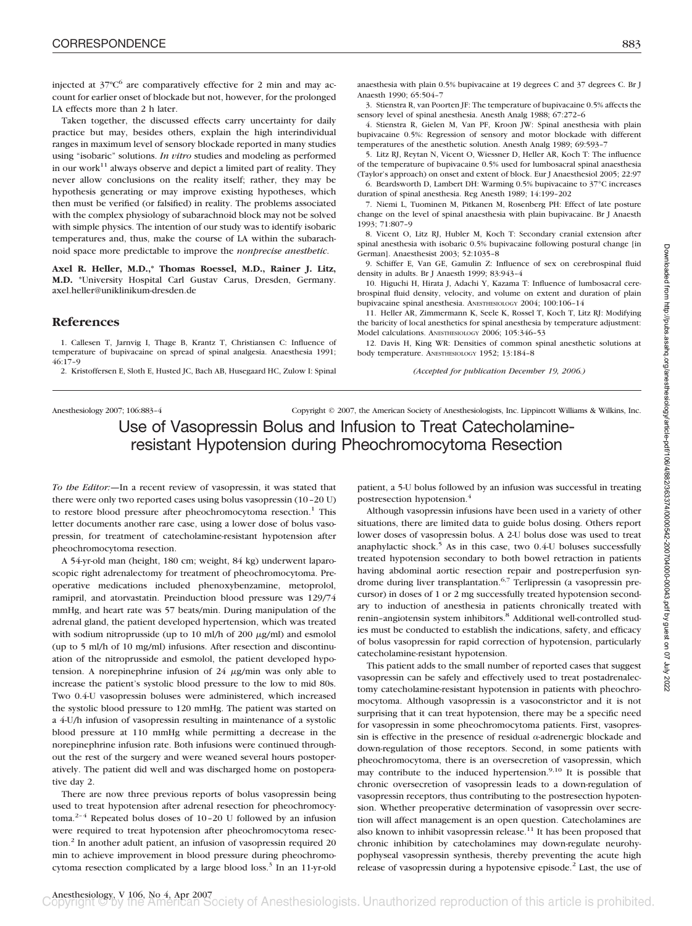injected at  $37^{\circ}C^6$  are comparatively effective for 2 min and may account for earlier onset of blockade but not, however, for the prolonged LA effects more than 2 h later.

Taken together, the discussed effects carry uncertainty for daily practice but may, besides others, explain the high interindividual ranges in maximum level of sensory blockade reported in many studies using "isobaric" solutions. *In vitro* studies and modeling as performed in our work $11$  always observe and depict a limited part of reality. They never allow conclusions on the reality itself; rather, they may be hypothesis generating or may improve existing hypotheses, which then must be verified (or falsified) in reality. The problems associated with the complex physiology of subarachnoid block may not be solved with simple physics. The intention of our study was to identify isobaric temperatures and, thus, make the course of LA within the subarachnoid space more predictable to improve the *nonprecise anesthetic*.

**Axel R. Heller, M.D.,\* Thomas Roessel, M.D., Rainer J. Litz, M.D.** \*University Hospital Carl Gustav Carus, Dresden, Germany. axel.heller@uniklinikum-dresden.de

#### **References**

1. Callesen T, Jarnvig I, Thage B, Krantz T, Christiansen C: Influence of temperature of bupivacaine on spread of spinal analgesia. Anaesthesia 1991; 46:17–9

2. Kristoffersen E, Sloth E, Husted JC, Bach AB, Husegaard HC, Zulow I: Spinal

anaesthesia with plain 0.5% bupivacaine at 19 degrees C and 37 degrees C. Br J Anaesth 1990; 65:504–7

3. Stienstra R, van Poorten JF: The temperature of bupivacaine 0.5% affects the sensory level of spinal anesthesia. Anesth Analg 1988; 67:272–6

4. Stienstra R, Gielen M, Van PF, Kroon JW: Spinal anesthesia with plain bupivacaine 0.5%: Regression of sensory and motor blockade with different temperatures of the anesthetic solution. Anesth Analg 1989; 69:593–7

5. Litz RJ, Reytan N, Vicent O, Wiessner D, Heller AR, Koch T: The influence of the temperature of bupivacaine 0.5% used for lumbosacral spinal anaesthesia (Taylor's approach) on onset and extent of block. Eur J Anaesthesiol 2005; 22:97

6. Beardsworth D, Lambert DH: Warming 0.5% bupivacaine to 37°C increases duration of spinal anesthesia. Reg Anesth 1989; 14:199–202

7. Niemi L, Tuominen M, Pitkanen M, Rosenberg PH: Effect of late posture change on the level of spinal anaesthesia with plain bupivacaine. Br J Anaesth 1993; 71:807–9

8. Vicent O, Litz RJ, Hubler M, Koch T: Secondary cranial extension after spinal anesthesia with isobaric 0.5% bupivacaine following postural change [in German]. Anaesthesist 2003; 52:1035–8

9. Schiffer E, Van GE, Gamulin Z: Influence of sex on cerebrospinal fluid density in adults. Br J Anaesth 1999; 83:943–4

10. Higuchi H, Hirata J, Adachi Y, Kazama T: Influence of lumbosacral cerebrospinal fluid density, velocity, and volume on extent and duration of plain bupivacaine spinal anesthesia. ANESTHESIOLOGY 2004; 100:106–14

11. Heller AR, Zimmermann K, Seele K, Rossel T, Koch T, Litz RJ: Modifying the baricity of local anesthetics for spinal anesthesia by temperature adjustment: Model calculations. ANESTHESIOLOGY 2006; 105:346–53

12. Davis H, King WR: Densities of common spinal anesthetic solutions at body temperature. ANESTHESIOLOGY 1952; 13:184–8

*(Accepted for publication December 19, 2006.)*

Anesthesiology 2007; 106:883–4 Copyright © 2007, the American Society of Anesthesiologists, Inc. Lippincott Williams & Wilkins, Inc. Use of Vasopressin Bolus and Infusion to Treat Catecholamineresistant Hypotension during Pheochromocytoma Resection

*To the Editor:—*In a recent review of vasopressin, it was stated that there were only two reported cases using bolus vasopressin (10 –20 U) to restore blood pressure after pheochromocytoma resection.<sup>1</sup> This letter documents another rare case, using a lower dose of bolus vasopressin, for treatment of catecholamine-resistant hypotension after pheochromocytoma resection.

A 54-yr-old man (height, 180 cm; weight, 84 kg) underwent laparoscopic right adrenalectomy for treatment of pheochromocytoma. Preoperative medications included phenoxybenzamine, metoprolol, ramipril, and atorvastatin. Preinduction blood pressure was 129/74 mmHg, and heart rate was 57 beats/min. During manipulation of the adrenal gland, the patient developed hypertension, which was treated with sodium nitroprusside (up to 10 ml/h of 200  $\mu$ g/ml) and esmolol (up to 5 ml/h of 10 mg/ml) infusions. After resection and discontinuation of the nitroprusside and esmolol, the patient developed hypotension. A norepinephrine infusion of 24  $\mu$ g/min was only able to increase the patient's systolic blood pressure to the low to mid 80s. Two 0.4-U vasopressin boluses were administered, which increased the systolic blood pressure to 120 mmHg. The patient was started on a 4-U/h infusion of vasopressin resulting in maintenance of a systolic blood pressure at 110 mmHg while permitting a decrease in the norepinephrine infusion rate. Both infusions were continued throughout the rest of the surgery and were weaned several hours postoperatively. The patient did well and was discharged home on postoperative day 2.

There are now three previous reports of bolus vasopressin being used to treat hypotension after adrenal resection for pheochromocytoma.<sup>2-4</sup> Repeated bolus doses of 10-20 U followed by an infusion were required to treat hypotension after pheochromocytoma resection.<sup>2</sup> In another adult patient, an infusion of vasopressin required 20 min to achieve improvement in blood pressure during pheochromocytoma resection complicated by a large blood loss.<sup>3</sup> In an 11-yr-old

patient, a 5-U bolus followed by an infusion was successful in treating postresection hypotension.4

Although vasopressin infusions have been used in a variety of other situations, there are limited data to guide bolus dosing. Others report lower doses of vasopressin bolus. A 2-U bolus dose was used to treat anaphylactic shock. $5$  As in this case, two 0.4-U boluses successfully treated hypotension secondary to both bowel retraction in patients having abdominal aortic resection repair and postreperfusion syndrome during liver transplantation.<sup>6,7</sup> Terlipressin (a vasopressin precursor) in doses of 1 or 2 mg successfully treated hypotension secondary to induction of anesthesia in patients chronically treated with renin-angiotensin system inhibitors.<sup>8</sup> Additional well-controlled studies must be conducted to establish the indications, safety, and efficacy of bolus vasopressin for rapid correction of hypotension, particularly catecholamine-resistant hypotension.

This patient adds to the small number of reported cases that suggest vasopressin can be safely and effectively used to treat postadrenalectomy catecholamine-resistant hypotension in patients with pheochromocytoma. Although vasopressin is a vasoconstrictor and it is not surprising that it can treat hypotension, there may be a specific need for vasopressin in some pheochromocytoma patients. First, vasopressin is effective in the presence of residual  $\alpha$ -adrenergic blockade and down-regulation of those receptors. Second, in some patients with pheochromocytoma, there is an oversecretion of vasopressin, which may contribute to the induced hypertension.<sup>9,10</sup> It is possible that chronic oversecretion of vasopressin leads to a down-regulation of vasopressin receptors, thus contributing to the postresection hypotension. Whether preoperative determination of vasopressin over secretion will affect management is an open question. Catecholamines are also known to inhibit vasopressin release.<sup>11</sup> It has been proposed that chronic inhibition by catecholamines may down-regulate neurohypophyseal vasopressin synthesis, thereby preventing the acute high release of vasopressin during a hypotensive episode. $<sup>2</sup>$  Last, the use of</sup>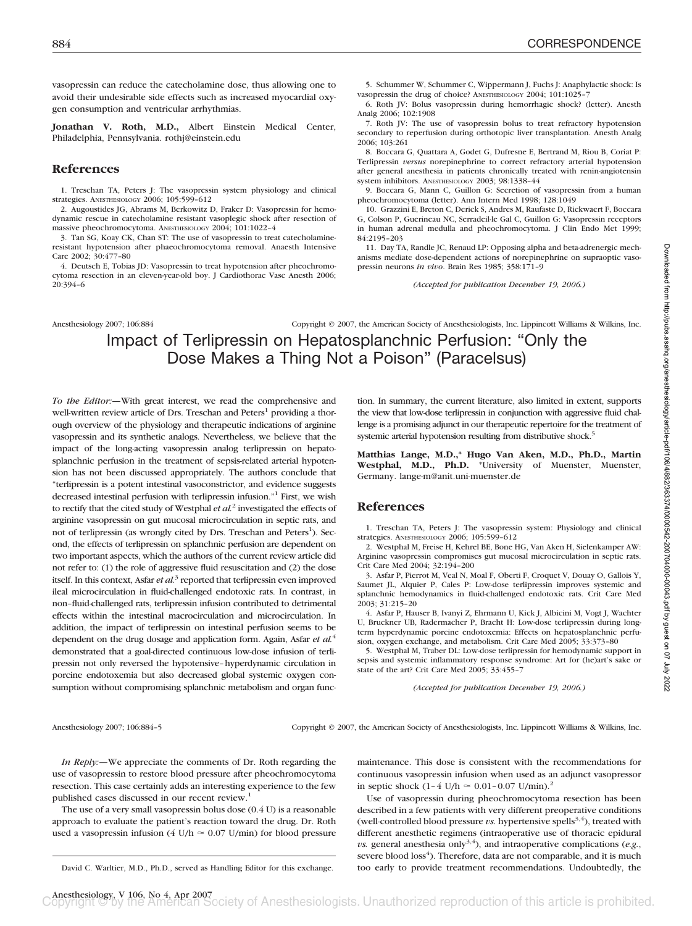vasopressin can reduce the catecholamine dose, thus allowing one to avoid their undesirable side effects such as increased myocardial oxygen consumption and ventricular arrhythmias.

**Jonathan V. Roth, M.D.,** Albert Einstein Medical Center, Philadelphia, Pennsylvania. rothj@einstein.edu

#### **References**

1. Treschan TA, Peters J: The vasopressin system physiology and clinical strategies. ANESTHESIOLOGY 2006; 105:599–612

2. Augoustides JG, Abrams M, Berkowitz D, Fraker D: Vasopressin for hemodynamic rescue in catecholamine resistant vasoplegic shock after resection of massive pheochromocytoma. ANESTHESIOLOGY 2004; 101:1022–4

3. Tan SG, Koay CK, Chan ST: The use of vasopressin to treat catecholamineresistant hypotension after phaeochromocytoma removal. Anaesth Intensive Care 2002; 30:477–80

4. Deutsch E, Tobias JD: Vasopressin to treat hypotension after pheochromocytoma resection in an eleven-year-old boy. J Cardiothorac Vasc Anesth 2006; 20:394–6

5. Schummer W, Schummer C, Wippermann J, Fuchs J: Anaphylactic shock: Is vasopressin the drug of choice? ANESTHESIOLOGY 2004; 101:1025-

6. Roth JV: Bolus vasopressin during hemorrhagic shock? (letter). Anesth Analg 2006; 102:1908

7. Roth JV: The use of vasopressin bolus to treat refractory hypotension secondary to reperfusion during orthotopic liver transplantation. Anesth Analg 2006; 103:261

8. Boccara G, Quattara A, Godet G, Dufresne E, Bertrand M, Riou B, Coriat P: Terlipressin *versus* norepinephrine to correct refractory arterial hypotension after general anesthesia in patients chronically treated with renin-angiotensin system inhibitors. ANESTHESIOLOGY 2003; 98:1338–44

9. Boccara G, Mann C, Guillon G: Secretion of vasopressin from a human pheochromocytoma (letter). Ann Intern Med 1998; 128:1049

10. Grazzini E, Breton C, Derick S, Andres M, Raufaste D, Rickwaert F, Boccara G, Colson P, Guerineau NC, Serradeil-le Gal C, Guillon G: Vasopressin receptors in human adrenal medulla and pheochromocytoma. J Clin Endo Met 1999; 84:2195–203

11. Day TA, Randle JC, Renaud LP: Opposing alpha and beta-adrenergic mechanisms mediate dose-dependent actions of norepinephrine on supraoptic vasopressin neurons *in vivo*. Brain Res 1985; 358:171–9

*(Accepted for publication December 19, 2006.)*

## Anesthesiology 2007; 106:884 Copyright © 2007, the American Society of Anesthesiologists, Inc. Lippincott Williams & Wilkins, Inc. Impact of Terlipressin on Hepatosplanchnic Perfusion: "Only the Dose Makes a Thing Not a Poison" (Paracelsus)

*To the Editor:—*With great interest, we read the comprehensive and well-written review article of Drs. Treschan and Peters<sup>1</sup> providing a thorough overview of the physiology and therapeutic indications of arginine vasopressin and its synthetic analogs. Nevertheless, we believe that the impact of the long-acting vasopressin analog terlipressin on hepatosplanchnic perfusion in the treatment of sepsis-related arterial hypotension has not been discussed appropriately. The authors conclude that "terlipressin is a potent intestinal vasoconstrictor, and evidence suggests decreased intestinal perfusion with terlipressin infusion."1 First, we wish to rectify that the cited study of Westphal *et al.*<sup>2</sup> investigated the effects of arginine vasopressin on gut mucosal microcirculation in septic rats, and not of terlipressin (as wrongly cited by Drs. Treschan and Peters<sup>1</sup>). Second, the effects of terlipressin on splanchnic perfusion are dependent on two important aspects, which the authors of the current review article did not refer to: (1) the role of aggressive fluid resuscitation and (2) the dose itself. In this context, Asfar *et al.*<sup>3</sup> reported that terlipressin even improved ileal microcirculation in fluid-challenged endotoxic rats. In contrast, in non–fluid-challenged rats, terlipressin infusion contributed to detrimental effects within the intestinal macrocirculation and microcirculation. In addition, the impact of terlipressin on intestinal perfusion seems to be dependent on the drug dosage and application form. Again, Asfar *et al.*<sup>4</sup> demonstrated that a goal-directed continuous low-dose infusion of terlipressin not only reversed the hypotensive–hyperdynamic circulation in porcine endotoxemia but also decreased global systemic oxygen consumption without compromising splanchnic metabolism and organ function. In summary, the current literature, also limited in extent, supports the view that low-dose terlipressin in conjunction with aggressive fluid challenge is a promising adjunct in our therapeutic repertoire for the treatment of systemic arterial hypotension resulting from distributive shock.<sup>5</sup>

**Matthias Lange, M.D.,\* Hugo Van Aken, M.D., Ph.D., Martin Westphal, M.D., Ph.D.** \*University of Muenster, Muenster, Germany. lange-m@anit.uni-muenster.de

#### **References**

1. Treschan TA, Peters J: The vasopressin system: Physiology and clinical strategies. ANESTHESIOLOGY 2006; 105:599–612

2. Westphal M, Freise H, Kehrel BE, Bone HG, Van Aken H, Sielenkamper AW: Arginine vasopressin compromises gut mucosal microcirculation in septic rats. Crit Care Med 2004; 32:194–200

3. Asfar P, Pierrot M, Veal N, Moal F, Oberti F, Croquet V, Douay O, Gallois Y, Saumet JL, Alquier P, Cales P: Low-dose terlipressin improves systemic and splanchnic hemodynamics in fluid-challenged endotoxic rats. Crit Care Med 2003; 31:215–20

4. Asfar P, Hauser B, Ivanyi Z, Ehrmann U, Kick J, Albicini M, Vogt J, Wachter U, Bruckner UB, Radermacher P, Bracht H: Low-dose terlipressin during longterm hyperdynamic porcine endotoxemia: Effects on hepatosplanchnic perfusion, oxygen exchange, and metabolism. Crit Care Med 2005; 33:373–80

5. Westphal M, Traber DL: Low-dose terlipressin for hemodynamic support in sepsis and systemic inflammatory response syndrome: Art for (he)art's sake or state of the art? Crit Care Med 2005; 33:455–7

*(Accepted for publication December 19, 2006.)*

Anesthesiology 2007; 106:884-5 Copyright © 2007, the American Society of Anesthesiologists, Inc. Lippincott Williams & Wilkins, Inc.

*In Reply:—*We appreciate the comments of Dr. Roth regarding the use of vasopressin to restore blood pressure after pheochromocytoma resection. This case certainly adds an interesting experience to the few published cases discussed in our recent review.<sup>1</sup>

The use of a very small vasopressin bolus dose (0.4 U) is a reasonable approach to evaluate the patient's reaction toward the drug. Dr. Roth used a vasopressin infusion (4 U/h  $\approx 0.07$  U/min) for blood pressure

maintenance. This dose is consistent with the recommendations for continuous vasopressin infusion when used as an adjunct vasopressor in septic shock  $(1 - 4 \text{ U/h} \approx 0.01 - 0.07 \text{ U/min})^2$ .

Use of vasopressin during pheochromocytoma resection has been described in a few patients with very different preoperative conditions (well-controlled blood pressure  $vs.$  hypertensive spells<sup>3,4</sup>), treated with different anesthetic regimens (intraoperative use of thoracic epidural  $vs.$  general anesthesia only<sup>3,4</sup>), and intraoperative complications ( $e.g.,$ severe blood loss<sup>4</sup>). Therefore, data are not comparable, and it is much David C. Warltier, M.D., Ph.D., served as Handling Editor for this exchange. too early to provide treatment recommendations. Undoubtedly, the

Anesthesiology, V 106, No 4, Apr 2007<br>Copyright © by the American Society of Anesthesiologists. Unauthorized reproduction of this article is prohibited.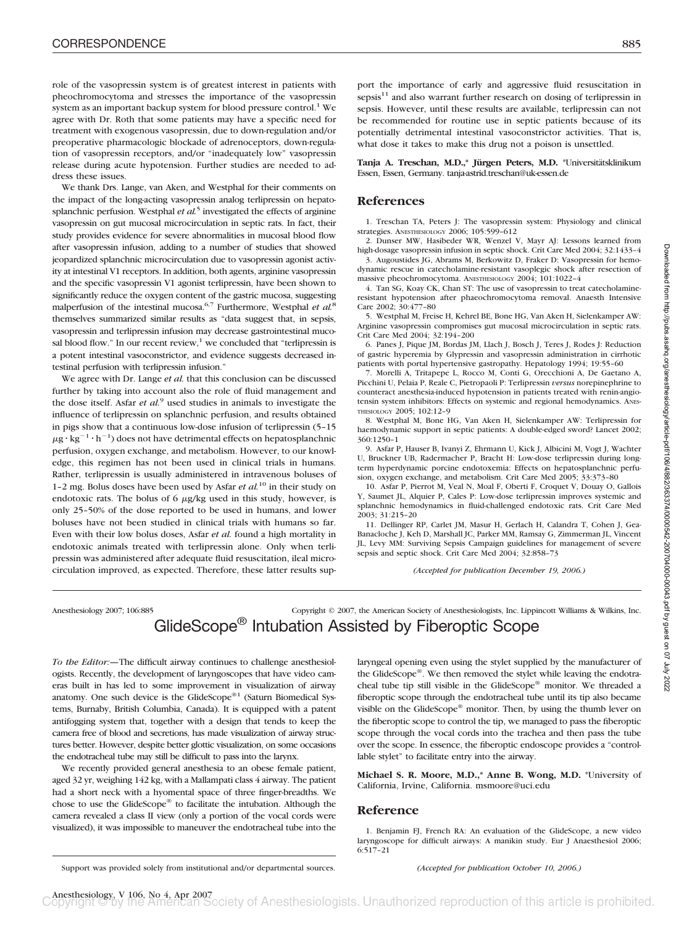role of the vasopressin system is of greatest interest in patients with pheochromocytoma and stresses the importance of the vasopressin system as an important backup system for blood pressure control.<sup>1</sup> We agree with Dr. Roth that some patients may have a specific need for treatment with exogenous vasopressin, due to down-regulation and/or preoperative pharmacologic blockade of adrenoceptors, down-regulation of vasopressin receptors, and/or "inadequately low" vasopressin release during acute hypotension. Further studies are needed to address these issues.

We thank Drs. Lange, van Aken, and Westphal for their comments on the impact of the long-acting vasopressin analog terlipressin on hepatosplanchnic perfusion. Westphal *et al.*<sup>5</sup> investigated the effects of arginine vasopressin on gut mucosal microcirculation in septic rats. In fact, their study provides evidence for severe abnormalities in mucosal blood flow after vasopressin infusion, adding to a number of studies that showed jeopardized splanchnic microcirculation due to vasopressin agonist activity at intestinal V1 receptors. In addition, both agents, arginine vasopressin and the specific vasopressin V1 agonist terlipressin, have been shown to significantly reduce the oxygen content of the gastric mucosa, suggesting malperfusion of the intestinal mucosa.<sup>6,7</sup> Furthermore, Westphal *et al.*<sup>8</sup> themselves summarized similar results as "data suggest that, in sepsis, vasopressin and terlipressin infusion may decrease gastrointestinal mucosal blood flow." In our recent review, $<sup>1</sup>$  we concluded that "terlipressin is</sup> a potent intestinal vasoconstrictor, and evidence suggests decreased intestinal perfusion with terlipressin infusion."

We agree with Dr. Lange *et al.* that this conclusion can be discussed further by taking into account also the role of fluid management and the dose itself. Asfar *et al.*<sup>9</sup> used studies in animals to investigate the influence of terlipressin on splanchnic perfusion, and results obtained in pigs show that a continuous low-dose infusion of terlipressin (5–15  $\mu$ g · kg<sup>-1</sup> · h<sup>-1</sup>) does not have detrimental effects on hepatosplanchnic perfusion, oxygen exchange, and metabolism. However, to our knowledge, this regimen has not been used in clinical trials in humans. Rather, terlipressin is usually administered in intravenous boluses of 1–2 mg. Bolus doses have been used by Asfar *et al.*<sup>10</sup> in their study on endotoxic rats. The bolus of  $6 \mu g/kg$  used in this study, however, is only 25–50% of the dose reported to be used in humans, and lower boluses have not been studied in clinical trials with humans so far. Even with their low bolus doses, Asfar *et al.* found a high mortality in endotoxic animals treated with terlipressin alone. Only when terlipressin was administered after adequate fluid resuscitation, ileal microcirculation improved, as expected. Therefore, these latter results sup-

port the importance of early and aggressive fluid resuscitation in sepsis<sup>11</sup> and also warrant further research on dosing of terlipressin in sepsis. However, until these results are available, terlipressin can not be recommended for routine use in septic patients because of its potentially detrimental intestinal vasoconstrictor activities. That is, what dose it takes to make this drug not a poison is unsettled.

Tanja A. Treschan, M.D.,\* Jürgen Peters, M.D. \*Universitätsklinikum Essen, Essen, Germany. tanja-astrid.treschan@uk-essen.de

#### **References**

1. Treschan TA, Peters J: The vasopressin system: Physiology and clinical strategies. ANESTHESIOLOGY 2006; 105:599–612

2. Dunser MW, Hasibeder WR, Wenzel V, Mayr AJ: Lessons learned from high-dosage vasopressin infusion in septic shock. Crit Care Med 2004; 32:1433–4

3. Augoustides JG, Abrams M, Berkowitz D, Fraker D: Vasopressin for hemodynamic rescue in catecholamine-resistant vasoplegic shock after resection of massive pheochromocytoma. ANESTHESIOLOGY 2004; 101:1022–4

4. Tan SG, Koay CK, Chan ST: The use of vasopressin to treat catecholamineresistant hypotension after phaeochromocytoma removal. Anaesth Intensive Care 2002; 30:477–80

5. Westphal M, Freise H, Kehrel BE, Bone HG, Van Aken H, Sielenkamper AW: Arginine vasopressin compromises gut mucosal microcirculation in septic rats. Crit Care Med 2004; 32:194–200

6. Panes J, Pique JM, Bordas JM, Llach J, Bosch J, Teres J, Rodes J: Reduction of gastric hyperemia by Glypressin and vasopressin administration in cirrhotic patients with portal hypertensive gastropathy. Hepatology 1994; 19:55–60

7. Morelli A, Tritapepe L, Rocco M, Conti G, Orecchioni A, De Gaetano A, Picchini U, Pelaia P, Reale C, Pietropaoli P: Terlipressin *versus* norepinephrine to counteract anesthesia-induced hypotension in patients treated with renin-angiotensin system inhibitors: Effects on systemic and regional hemodynamics. ANES-THESIOLOGY 2005; 102:12–9

8. Westphal M, Bone HG, Van Aken H, Sielenkamper AW: Terlipressin for haemodynamic support in septic patients: A double-edged sword? Lancet 2002; 360:1250–1

9. Asfar P, Hauser B, Ivanyi Z, Ehrmann U, Kick J, Albicini M, Vogt J, Wachter U, Bruckner UB, Radermacher P, Bracht H: Low-dose terlipressin during longterm hyperdynamic porcine endotoxemia: Effects on hepatosplanchnic perfusion, oxygen exchange, and metabolism. Crit Care Med 2005; 33:373–80

10. Asfar P, Pierrot M, Veal N, Moal F, Oberti F, Croquet V, Douay O, Gallois Y, Saumet JL, Alquier P, Cales P: Low-dose terlipressin improves systemic and splanchnic hemodynamics in fluid-challenged endotoxic rats. Crit Care Med 2003; 31:215–20

11. Dellinger RP, Carlet JM, Masur H, Gerlach H, Calandra T, Cohen J, Gea-Banacloche J, Keh D, Marshall JC, Parker MM, Ramsay G, Zimmerman JL, Vincent JL, Levy MM: Surviving Sepsis Campaign guidelines for management of severe sepsis and septic shock. Crit Care Med 2004; 32:858–73

*(Accepted for publication December 19, 2006.)*

Anesthesiology 2007; 106:885 Copyright © 2007, the American Society of Anesthesiologists, Inc. Lippincott Williams & Wilkins, Inc. GlideScope® Intubation Assisted by Fiberoptic Scope

*To the Editor:—*The difficult airway continues to challenge anesthesiologists. Recently, the development of laryngoscopes that have video cameras built in has led to some improvement in visualization of airway anatomy. One such device is the GlideScope<sup>®1</sup> (Saturn Biomedical Systems, Burnaby, British Columbia, Canada). It is equipped with a patent antifogging system that, together with a design that tends to keep the camera free of blood and secretions, has made visualization of airway structures better. However, despite better glottic visualization, on some occasions the endotracheal tube may still be difficult to pass into the larynx.

We recently provided general anesthesia to an obese female patient, aged 32 yr, weighing 142 kg, with a Mallampati class 4 airway. The patient had a short neck with a hyomental space of three finger-breadths. We chose to use the GlideScope® to facilitate the intubation. Although the camera revealed a class II view (only a portion of the vocal cords were visualized), it was impossible to maneuver the endotracheal tube into the laryngeal opening even using the stylet supplied by the manufacturer of the GlideScope®. We then removed the stylet while leaving the endotracheal tube tip still visible in the GlideScope® monitor. We threaded a fiberoptic scope through the endotracheal tube until its tip also became visible on the GlideScope® monitor. Then, by using the thumb lever on the fiberoptic scope to control the tip, we managed to pass the fiberoptic scope through the vocal cords into the trachea and then pass the tube over the scope. In essence, the fiberoptic endoscope provides a "controllable stylet" to facilitate entry into the airway.

**Michael S. R. Moore, M.D.,\* Anne B. Wong, M.D.** \*University of California, Irvine, California. msmoore@uci.edu

#### **Reference**

1. Benjamin FJ, French RA: An evaluation of the GlideScope, a new video laryngoscope for difficult airways: A manikin study. Eur J Anaesthesiol 2006; 6:517–21

Support was provided solely from institutional and/or departmental sources. *(Accepted for publication October 10, 2006.)*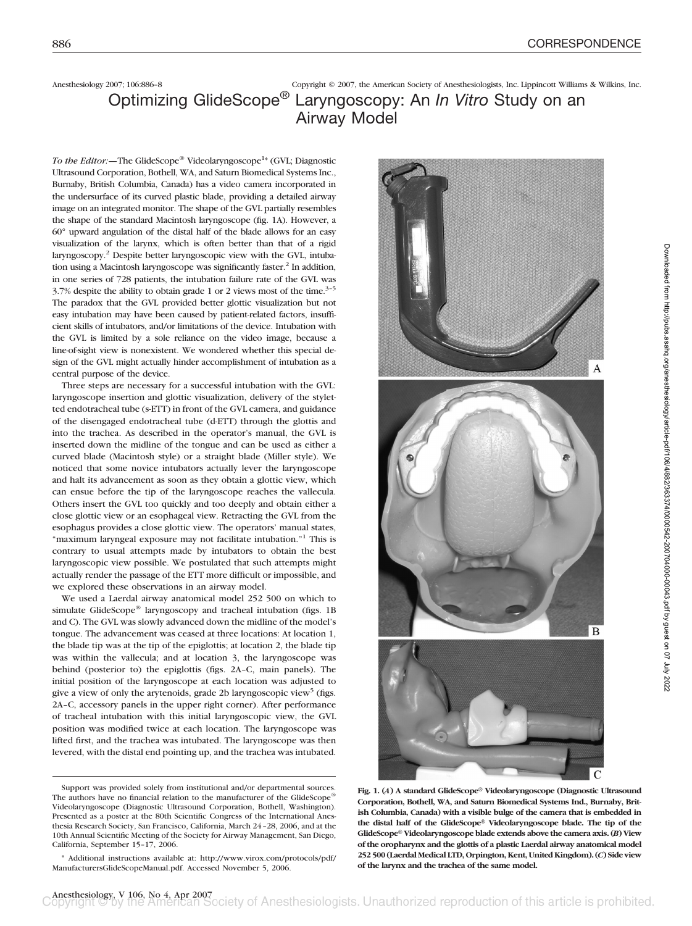Anesthesiology 2007; 106:886–8 Copyright © 2007, the American Society of Anesthesiologists, Inc. Lippincott Williams & Wilkins, Inc.

Optimizing GlideScope® Laryngoscopy: An *In Vitro* Study on an Airway Model

To the Editor:—The GlideScope® Videolaryngoscope<sup>1</sup>\* (GVL; Diagnostic Ultrasound Corporation, Bothell, WA, and Saturn Biomedical Systems Inc., Burnaby, British Columbia, Canada) has a video camera incorporated in the undersurface of its curved plastic blade, providing a detailed airway image on an integrated monitor. The shape of the GVL partially resembles the shape of the standard Macintosh laryngoscope (fig. 1A). However, a 60° upward angulation of the distal half of the blade allows for an easy visualization of the larynx, which is often better than that of a rigid laryngoscopy.2 Despite better laryngoscopic view with the GVL, intubation using a Macintosh laryngoscope was significantly faster.<sup>2</sup> In addition, in one series of 728 patients, the intubation failure rate of the GVL was 3.7% despite the ability to obtain grade 1 or 2 views most of the time. $3-5$ The paradox that the GVL provided better glottic visualization but not easy intubation may have been caused by patient-related factors, insufficient skills of intubators, and/or limitations of the device. Intubation with the GVL is limited by a sole reliance on the video image, because a line-of-sight view is nonexistent. We wondered whether this special design of the GVL might actually hinder accomplishment of intubation as a central purpose of the device.

Three steps are necessary for a successful intubation with the GVL: laryngoscope insertion and glottic visualization, delivery of the styletted endotracheal tube (s-ETT) in front of the GVL camera, and guidance of the disengaged endotracheal tube (d-ETT) through the glottis and into the trachea. As described in the operator's manual, the GVL is inserted down the midline of the tongue and can be used as either a curved blade (Macintosh style) or a straight blade (Miller style). We noticed that some novice intubators actually lever the laryngoscope and halt its advancement as soon as they obtain a glottic view, which can ensue before the tip of the laryngoscope reaches the vallecula. Others insert the GVL too quickly and too deeply and obtain either a close glottic view or an esophageal view. Retracting the GVL from the esophagus provides a close glottic view. The operators' manual states, "maximum laryngeal exposure may not facilitate intubation."<sup>1</sup> This is contrary to usual attempts made by intubators to obtain the best laryngoscopic view possible. We postulated that such attempts might actually render the passage of the ETT more difficult or impossible, and we explored these observations in an airway model.

We used a Laerdal airway anatomical model 252 500 on which to simulate GlideScope® laryngoscopy and tracheal intubation (figs. 1B and C). The GVL was slowly advanced down the midline of the model's tongue. The advancement was ceased at three locations: At location 1, the blade tip was at the tip of the epiglottis; at location 2, the blade tip was within the vallecula; and at location 3, the laryngoscope was behind (posterior to) the epiglottis (figs. 2A–C, main panels). The initial position of the laryngoscope at each location was adjusted to give a view of only the arytenoids, grade 2b laryngoscopic view<sup>5</sup> (figs. 2A–C, accessory panels in the upper right corner). After performance of tracheal intubation with this initial laryngoscopic view, the GVL position was modified twice at each location. The laryngoscope was lifted first, and the trachea was intubated. The laryngoscope was then levered, with the distal end pointing up, and the trachea was intubated.



**Fig. 1. (***A***) A standard GlideScope Videolaryngoscope (Diagnostic Ultrasound Corporation, Bothell, WA, and Saturn Biomedical Systems Ind., Burnaby, British Columbia, Canada) with a visible bulge of the camera that is embedded in the distal half of the GlideScope Videolaryngoscope blade. The tip of the GlideScope Videolaryngoscope blade extends above the camera axis. (***B***) View of the oropharynx and the glottis of a plastic Laerdal airway anatomical model 252 500 (Laerdal Medical LTD, Orpington, Kent, United Kingdom). (***C***) Side view of the larynx and the trachea of the same model.**

Support was provided solely from institutional and/or departmental sources. The authors have no financial relation to the manufacturer of the GlideScope<sup>®</sup> Videolaryngoscope (Diagnostic Ultrasound Corporation, Bothell, Washington). Presented as a poster at the 80th Scientific Congress of the International Anesthesia Research Society, San Francisco, California, March 24 –28, 2006, and at the 10th Annual Scientific Meeting of the Society for Airway Management, San Diego, California, September 15–17, 2006.

<sup>\*</sup> Additional instructions available at: http://www.virox.com/protocols/pdf/ ManufacturersGlideScopeManual.pdf. Accessed November 5, 2006.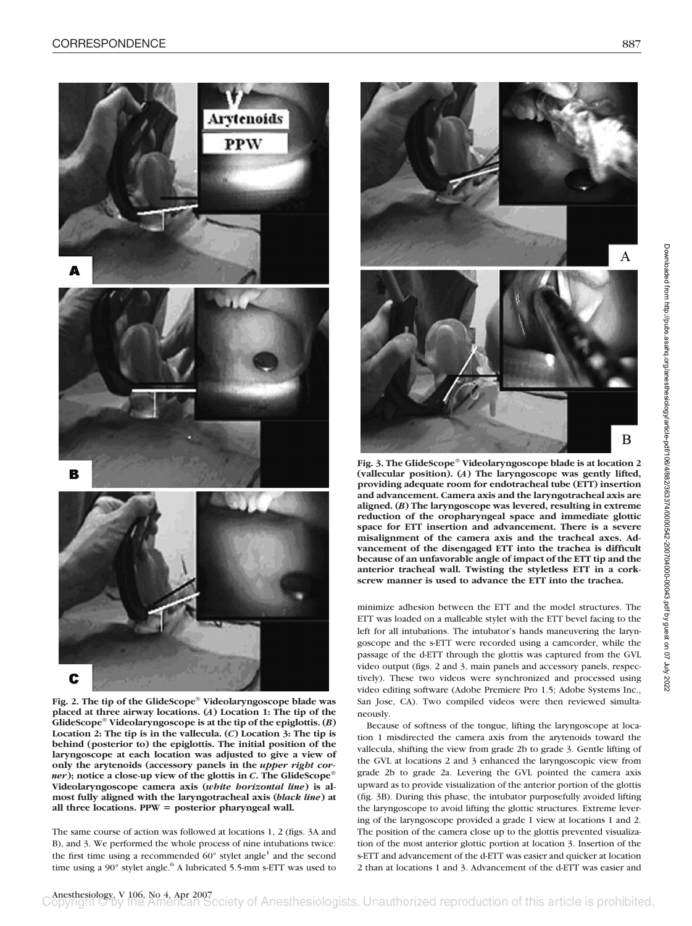

**Fig. 2. The tip of the GlideScope® Videolaryngoscope blade was placed at three airway locations. (***A***) Location 1: The tip of the GlideScope® Videolaryngoscope is at the tip of the epiglottis. (***B***) Location 2: The tip is in the vallecula. (***C***) Location 3: The tip is behind (posterior to) the epiglottis. The initial position of the laryngoscope at each location was adjusted to give a view of only the arytenoids (accessory panels in the** *upper right corner***); notice a close-up view of the glottis in** *C***. The GlideScope® Videolaryngoscope camera axis (***white horizontal line***) is almost fully aligned with the laryngotracheal axis (***black line***) at** all three locations. PPW = posterior pharyngeal wall.

C

The same course of action was followed at locations 1, 2 (figs. 3A and B), and 3. We performed the whole process of nine intubations twice: the first time using a recommended  $60^{\circ}$  stylet angle<sup>1</sup> and the second time using a 90° stylet angle.<sup>6</sup> A lubricated 5.5-mm s-ETT was used to



**Fig. 3. The GlideScope® Videolaryngoscope blade is at location 2 (vallecular position). (***A***) The laryngoscope was gently lifted, providing adequate room for endotracheal tube (ETT) insertion and advancement. Camera axis and the laryngotracheal axis are aligned. (***B***) The laryngoscope was levered, resulting in extreme reduction of the oropharyngeal space and immediate glottic space for ETT insertion and advancement. There is a severe misalignment of the camera axis and the tracheal axes. Advancement of the disengaged ETT into the trachea is difficult because of an unfavorable angle of impact of the ETT tip and the anterior tracheal wall. Twisting the styletless ETT in a corkscrew manner is used to advance the ETT into the trachea.**

minimize adhesion between the ETT and the model structures. The ETT was loaded on a malleable stylet with the ETT bevel facing to the left for all intubations. The intubator's hands maneuvering the laryngoscope and the s-ETT were recorded using a camcorder, while the passage of the d-ETT through the glottis was captured from the GVL video output (figs. 2 and 3, main panels and accessory panels, respectively). These two videos were synchronized and processed using video editing software (Adobe Premiere Pro 1.5; Adobe Systems Inc., San Jose, CA). Two compiled videos were then reviewed simultaneously.

Because of softness of the tongue, lifting the laryngoscope at location 1 misdirected the camera axis from the arytenoids toward the vallecula, shifting the view from grade 2b to grade 3. Gentle lifting of the GVL at locations 2 and 3 enhanced the laryngoscopic view from grade 2b to grade 2a. Levering the GVL pointed the camera axis upward as to provide visualization of the anterior portion of the glottis (fig. 3B). During this phase, the intubator purposefully avoided lifting the laryngoscope to avoid lifting the glottic structures. Extreme levering of the laryngoscope provided a grade 1 view at locations 1 and 2. The position of the camera close up to the glottis prevented visualization of the most anterior glottic portion at location 3. Insertion of the s-ETT and advancement of the d-ETT was easier and quicker at location 2 than at locations 1 and 3. Advancement of the d-ETT was easier and